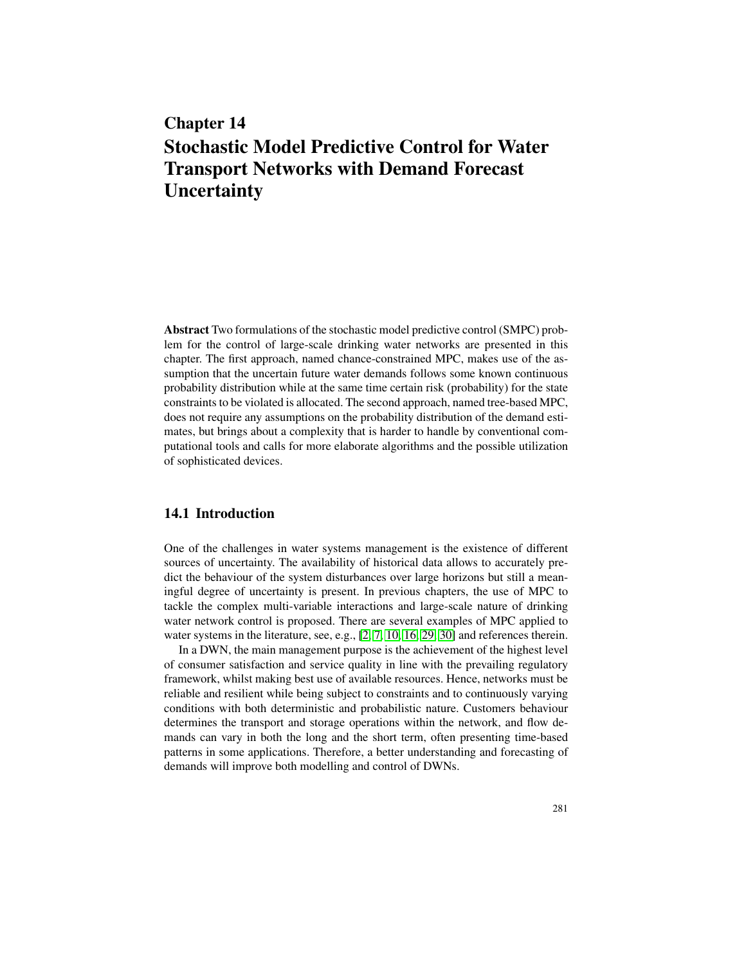# Chapter 14 Stochastic Model Predictive Control for Water Transport Networks with Demand Forecast **Uncertainty**

Abstract Two formulations of the stochastic model predictive control (SMPC) problem for the control of large-scale drinking water networks are presented in this chapter. The first approach, named chance-constrained MPC, makes use of the assumption that the uncertain future water demands follows some known continuous probability distribution while at the same time certain risk (probability) for the state constraints to be violated is allocated. The second approach, named tree-based MPC, does not require any assumptions on the probability distribution of the demand estimates, but brings about a complexity that is harder to handle by conventional computational tools and calls for more elaborate algorithms and the possible utilization of sophisticated devices.

#### 14.1 Introduction

One of the challenges in water systems management is the existence of different sources of uncertainty. The availability of historical data allows to accurately predict the behaviour of the system disturbances over large horizons but still a meaningful degree of uncertainty is present. In previous chapters, the use of MPC to tackle the complex multi-variable interactions and large-scale nature of drinking water network control is proposed. There are several examples of MPC applied to water systems in the literature, see, e.g., [2, 7, 10, 16, 29, 30] and references therein.

In a DWN, the main management purpose is the achievement of the highest level of consumer satisfaction and service quality in line with the prevailing regulatory framework, whilst making best use of available resources. Hence, networks must be reliable and resilient while being subject to constraints and to continuously varying conditions with both deterministic and probabilistic nature. Customers behaviour determines the transport and storage operations within the network, and flow demands can vary in both the long and the short term, often presenting time-based patterns in some applications. Therefore, a better understanding and forecasting of demands will improve both modelling and control of DWNs.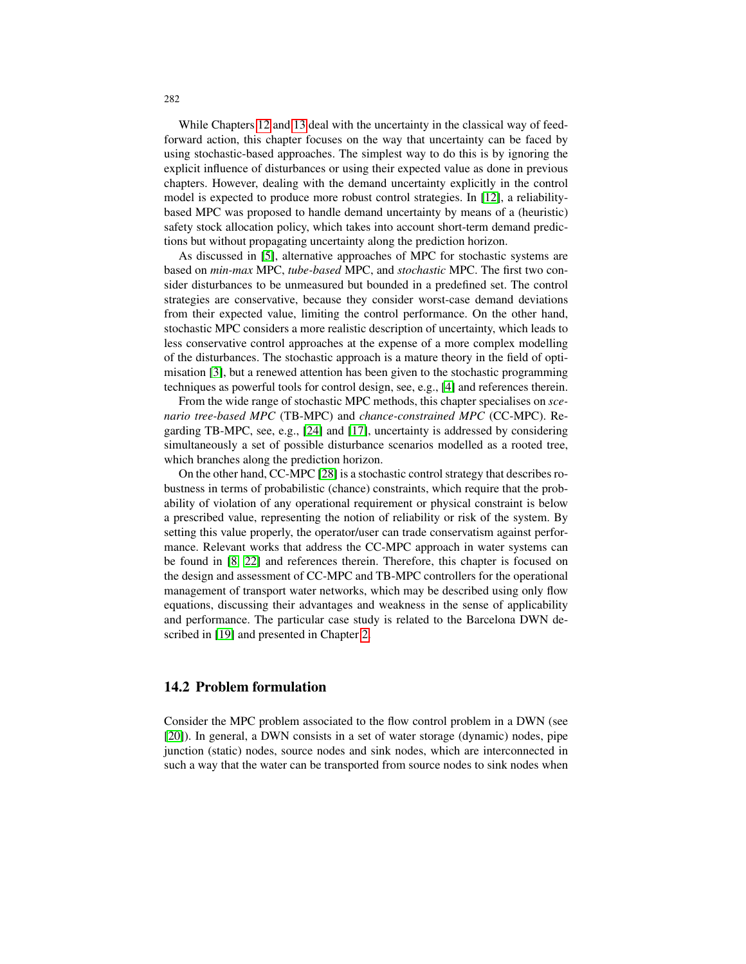While Chapters 12 and 13 deal with the uncertainty in the classical way of feedforward action, this chapter focuses on the way that uncertainty can be faced by using stochastic-based approaches. The simplest way to do this is by ignoring the explicit influence of disturbances or using their expected value as done in previous chapters. However, dealing with the demand uncertainty explicitly in the control model is expected to produce more robust control strategies. In [12], a reliabilitybased MPC was proposed to handle demand uncertainty by means of a (heuristic) safety stock allocation policy, which takes into account short-term demand predictions but without propagating uncertainty along the prediction horizon.

As discussed in [5], alternative approaches of MPC for stochastic systems are based on *min-max* MPC, *tube-based* MPC, and *stochastic* MPC. The first two consider disturbances to be unmeasured but bounded in a predefined set. The control strategies are conservative, because they consider worst-case demand deviations from their expected value, limiting the control performance. On the other hand, stochastic MPC considers a more realistic description of uncertainty, which leads to less conservative control approaches at the expense of a more complex modelling of the disturbances. The stochastic approach is a mature theory in the field of optimisation [3], but a renewed attention has been given to the stochastic programming techniques as powerful tools for control design, see, e.g., [4] and references therein.

From the wide range of stochastic MPC methods, this chapter specialises on *scenario tree-based MPC* (TB-MPC) and *chance-constrained MPC* (CC-MPC). Regarding TB-MPC, see, e.g., [24] and [17], uncertainty is addressed by considering simultaneously a set of possible disturbance scenarios modelled as a rooted tree, which branches along the prediction horizon.

On the other hand, CC-MPC [28] is a stochastic control strategy that describes robustness in terms of probabilistic (chance) constraints, which require that the probability of violation of any operational requirement or physical constraint is below a prescribed value, representing the notion of reliability or risk of the system. By setting this value properly, the operator/user can trade conservatism against performance. Relevant works that address the CC-MPC approach in water systems can be found in [8, 22] and references therein. Therefore, this chapter is focused on the design and assessment of CC-MPC and TB-MPC controllers for the operational management of transport water networks, which may be described using only flow equations, discussing their advantages and weakness in the sense of applicability and performance. The particular case study is related to the Barcelona DWN described in [19] and presented in Chapter 2.

#### 14.2 Problem formulation

Consider the MPC problem associated to the flow control problem in a DWN (see [20]). In general, a DWN consists in a set of water storage (dynamic) nodes, pipe junction (static) nodes, source nodes and sink nodes, which are interconnected in such a way that the water can be transported from source nodes to sink nodes when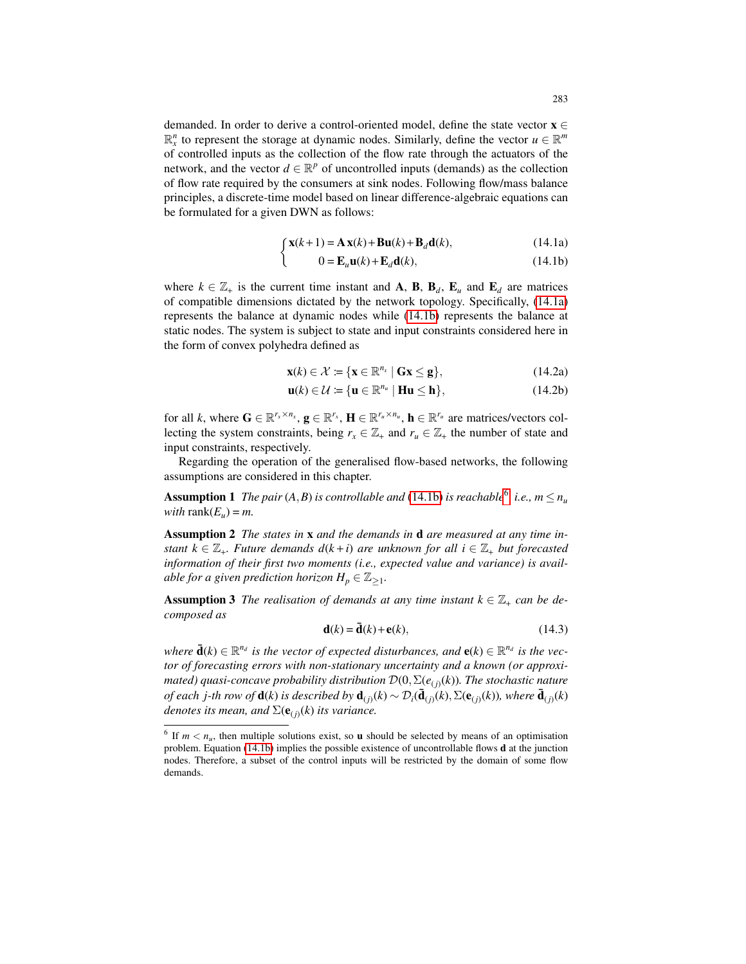demanded. In order to derive a control-oriented model, define the state vector  $\mathbf{x} \in \mathbb{R}$  $\mathbb{R}_x^n$  to represent the storage at dynamic nodes. Similarly, define the vector  $u \in \mathbb{R}^m$ of controlled inputs as the collection of the flow rate through the actuators of the network, and the vector  $d \in \mathbb{R}^p$  of uncontrolled inputs (demands) as the collection of flow rate required by the consumers at sink nodes. Following flow/mass balance principles, a discrete-time model based on linear difference-algebraic equations can be formulated for a given DWN as follows:

$$
\int \mathbf{x}(k+1) = \mathbf{A}\mathbf{x}(k) + \mathbf{B}\mathbf{u}(k) + \mathbf{B}_d\mathbf{d}(k),
$$
 (14.1a)

$$
0 = \mathbf{E}_u \mathbf{u}(k) + \mathbf{E}_d \mathbf{d}(k),\tag{14.1b}
$$

where  $k \in \mathbb{Z}_+$  is the current time instant and **A**, **B**, **B**<sub>*d*</sub>, **E**<sub>*u*</sub> and **E**<sub>*d*</sub> are matrices of compatible dimensions dictated by the network topology. Specifically, (14.1a) represents the balance at dynamic nodes while (14.1b) represents the balance at static nodes. The system is subject to state and input constraints considered here in the form of convex polyhedra defined as

$$
\mathbf{x}(k) \in \mathcal{X} \coloneqq \{ \mathbf{x} \in \mathbb{R}^{n_x} \mid \mathbf{Gx} \leq \mathbf{g} \},\tag{14.2a}
$$

$$
\mathbf{u}(k) \in \mathcal{U} \coloneqq \{ \mathbf{u} \in \mathbb{R}^{n_u} \mid \mathbf{H}\mathbf{u} \le \mathbf{h} \},\tag{14.2b}
$$

for all *k*, where  $\mathbf{G} \in \mathbb{R}^{r_x \times n_x}$ ,  $\mathbf{g} \in \mathbb{R}^{r_x}$ ,  $\mathbf{H} \in \mathbb{R}^{r_u \times n_u}$ ,  $\mathbf{h} \in \mathbb{R}^{r_u}$  are matrices/vectors collecting the system constraints, being  $r_x \in \mathbb{Z}_+$  and  $r_u \in \mathbb{Z}_+$  the number of state and input constraints, respectively.

Regarding the operation of the generalised flow-based networks, the following assumptions are considered in this chapter.

**Assumption 1** *The pair*  $(A, B)$  *is controllable and*  $(14.1b)$  *is reachable*<sup>6</sup>, *i.e.*,  $m \le n_u$ *with* rank $(E_u) = m$ .

Assumption 2 *The states in* x *and the demands in* d *are measured at any time instant*  $k \in \mathbb{Z}_+$ *. Future demands*  $d(k+i)$  *are unknown for all*  $i \in \mathbb{Z}_+$  *but forecasted information of their first two moments (i.e., expected value and variance) is avail*able for a given prediction horizon  $H_p \in \mathbb{Z}_{\geq 1}.$ 

**Assumption 3** *The realisation of demands at any time instant*  $k \in \mathbb{Z}_+$  *can be decomposed as*

$$
\mathbf{d}(k) = \mathbf{\bar{d}}(k) + \mathbf{e}(k),\tag{14.3}
$$

 $\vec{d}(k) \in \mathbb{R}^{n_d}$  is the vector of expected disturbances, and  $e(k) \in \mathbb{R}^{n_d}$  is the vec*tor of forecasting errors with non-stationary uncertainty and a known (or approximated) quasi-concave probability distribution* D(0,Σ(*e*(*j*) (*k*))*. The stochastic nature*  $of$  each  $j$ -th row of  $\mathbf{d}(k)$  is described by  $\mathbf{d}_{(j)}(k) \sim \mathcal{D}_i(\mathbf{\bar{d}}_{(j)}(k), \Sigma(\mathbf{e}_{(j)}(k)),$  where  $\mathbf{\bar{d}}_{(j)}(k)$ denotes its mean, and  $\Sigma(\mathbf{e}_{(j)}(k))$  its variance.

<sup>&</sup>lt;sup>6</sup> If  $m < n_u$ , then multiple solutions exist, so **u** should be selected by means of an optimisation problem. Equation (14.1b) implies the possible existence of uncontrollable flows d at the junction nodes. Therefore, a subset of the control inputs will be restricted by the domain of some flow demands.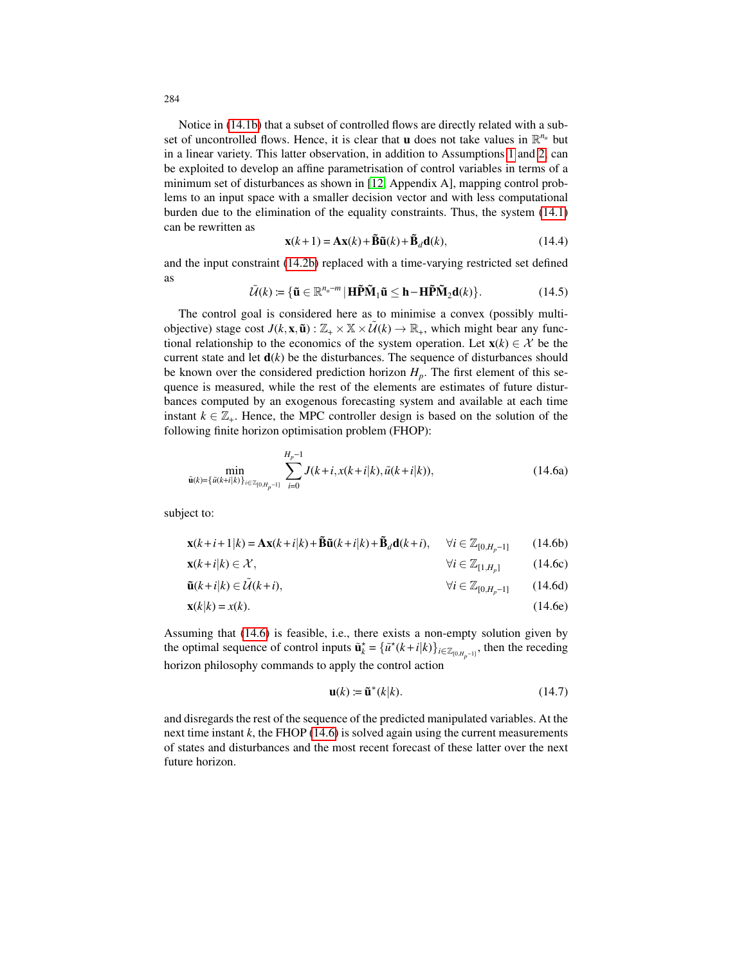Notice in (14.1b) that a subset of controlled flows are directly related with a subset of uncontrolled flows. Hence, it is clear that **u** does not take values in  $\mathbb{R}^{n_u}$  but in a linear variety. This latter observation, in addition to Assumptions 1 and 2, can be exploited to develop an affine parametrisation of control variables in terms of a minimum set of disturbances as shown in [12, Appendix A], mapping control problems to an input space with a smaller decision vector and with less computational burden due to the elimination of the equality constraints. Thus, the system (14.1) can be rewritten as

$$
\mathbf{x}(k+1) = \mathbf{A}\mathbf{x}(k) + \mathbf{\tilde{B}}\mathbf{\tilde{u}}(k) + \mathbf{\tilde{B}}_d\mathbf{d}(k),
$$
 (14.4)

and the input constraint (14.2b) replaced with a time-varying restricted set defined as

$$
\tilde{\mathcal{U}}(k) \coloneqq \{ \tilde{\mathbf{u}} \in \mathbb{R}^{n_u - m} \, | \, \mathbf{H} \tilde{\mathbf{P}} \tilde{\mathbf{M}}_1 \tilde{\mathbf{u}} \leq \mathbf{h} - \mathbf{H} \tilde{\mathbf{P}} \tilde{\mathbf{M}}_2 \mathbf{d}(k) \}. \tag{14.5}
$$

The control goal is considered here as to minimise a convex (possibly multiobjective) stage cost  $J(k, \mathbf{x}, \tilde{\mathbf{u}}) : \mathbb{Z}_+ \times \mathbb{X} \times \tilde{U}(k) \to \mathbb{R}_+$ , which might bear any functional relationship to the economics of the system operation. Let  $\mathbf{x}(k) \in \mathcal{X}$  be the current state and let  $\mathbf{d}(k)$  be the disturbances. The sequence of disturbances should be known over the considered prediction horizon  $H_p$ . The first element of this sequence is measured, while the rest of the elements are estimates of future disturbances computed by an exogenous forecasting system and available at each time instant  $k \in \mathbb{Z}_+$ . Hence, the MPC controller design is based on the solution of the following finite horizon optimisation problem (FHOP):

$$
\min_{\tilde{\mathbf{u}}(k)=\{\tilde{u}(k+i|k)\}_{i\in\mathbb{Z}_{[0,H_{p}-1]}}}\sum_{i=0}^{H_{p}-1}J(k+i,x(k+i|k),\tilde{u}(k+i|k)),
$$
\n(14.6a)

subject to:

$$
\mathbf{x}(k+i+1|k) = \mathbf{A}\mathbf{x}(k+i|k) + \tilde{\mathbf{B}}\tilde{\mathbf{u}}(k+i|k) + \tilde{\mathbf{B}}_d\mathbf{d}(k+i), \quad \forall i \in \mathbb{Z}_{[0,H_p-1]} \tag{14.6b}
$$

$$
\mathbf{x}(k+i|k) \in \mathcal{X}, \qquad \forall i \in \mathbb{Z}_{[1,H_p]} \tag{14.6c}
$$

$$
\tilde{\mathbf{u}}(k+i|k) \in \tilde{\mathcal{U}}(k+i), \qquad \forall i \in \mathbb{Z}_{[0,H_p-1]} \qquad (14.6d)
$$

$$
\mathbf{x}(k|k) = x(k). \tag{14.6e}
$$

Assuming that (14.6) is feasible, i.e., there exists a non-empty solution given by the optimal sequence of control inputs  $\tilde{\mathbf{u}}_k^* = {\{\tilde{u}^*(k+i|k)\}}_{i \in \mathbb{Z}_{[0,H_p-1]}},$  then the receding horizon philosophy commands to apply the control action

$$
\mathbf{u}(k) \coloneqq \tilde{\mathbf{u}}^*(k|k). \tag{14.7}
$$

and disregards the rest of the sequence of the predicted manipulated variables. At the next time instant *k*, the FHOP (14.6) is solved again using the current measurements of states and disturbances and the most recent forecast of these latter over the next future horizon.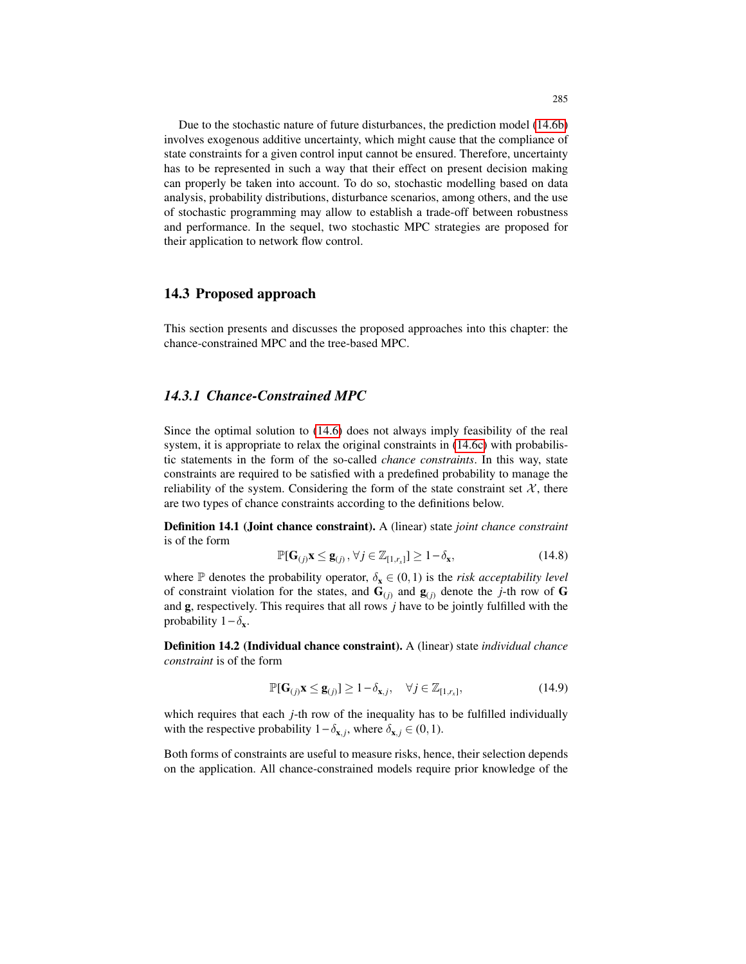Due to the stochastic nature of future disturbances, the prediction model (14.6b) involves exogenous additive uncertainty, which might cause that the compliance of state constraints for a given control input cannot be ensured. Therefore, uncertainty has to be represented in such a way that their effect on present decision making can properly be taken into account. To do so, stochastic modelling based on data analysis, probability distributions, disturbance scenarios, among others, and the use of stochastic programming may allow to establish a trade-off between robustness and performance. In the sequel, two stochastic MPC strategies are proposed for their application to network flow control.

#### 14.3 Proposed approach

This section presents and discusses the proposed approaches into this chapter: the chance-constrained MPC and the tree-based MPC.

### *14.3.1 Chance-Constrained MPC*

Since the optimal solution to (14.6) does not always imply feasibility of the real system, it is appropriate to relax the original constraints in  $(14.6c)$  with probabilistic statements in the form of the so-called *chance constraints*. In this way, state constraints are required to be satisfied with a predefined probability to manage the reliability of the system. Considering the form of the state constraint set  $X$ , there are two types of chance constraints according to the definitions below.

Definition 14.1 (Joint chance constraint). A (linear) state *joint chance constraint* is of the form

$$
\mathbb{P}[\mathbf{G}_{(j)}\mathbf{x} \le \mathbf{g}_{(j)}, \forall j \in \mathbb{Z}_{[1,r_x]}] \ge 1 - \delta_{\mathbf{x}},\tag{14.8}
$$

where  $\mathbb P$  denotes the probability operator,  $\delta_{\mathbf x} \in (0,1)$  is the *risk acceptability level* of constraint violation for the states, and  $\mathbf{G}_{(i)}$  and  $\mathbf{g}_{(i)}$  denote the *j*-th row of **G** and g, respectively. This requires that all rows *j* have to be jointly fulfilled with the probability  $1 - \delta_{\mathbf{x}}$ .

Definition 14.2 (Individual chance constraint). A (linear) state *individual chance constraint* is of the form

$$
\mathbb{P}[\mathbf{G}_{(j)}\mathbf{x} \le \mathbf{g}_{(j)}] \ge 1 - \delta_{\mathbf{x},j}, \quad \forall j \in \mathbb{Z}_{[1,r_x]},
$$
\n(14.9)

which requires that each *j*-th row of the inequality has to be fulfilled individually with the respective probability  $1 - \delta_{\mathbf{x},j}$ , where  $\delta_{\mathbf{x},j} \in (0,1)$ .

Both forms of constraints are useful to measure risks, hence, their selection depends on the application. All chance-constrained models require prior knowledge of the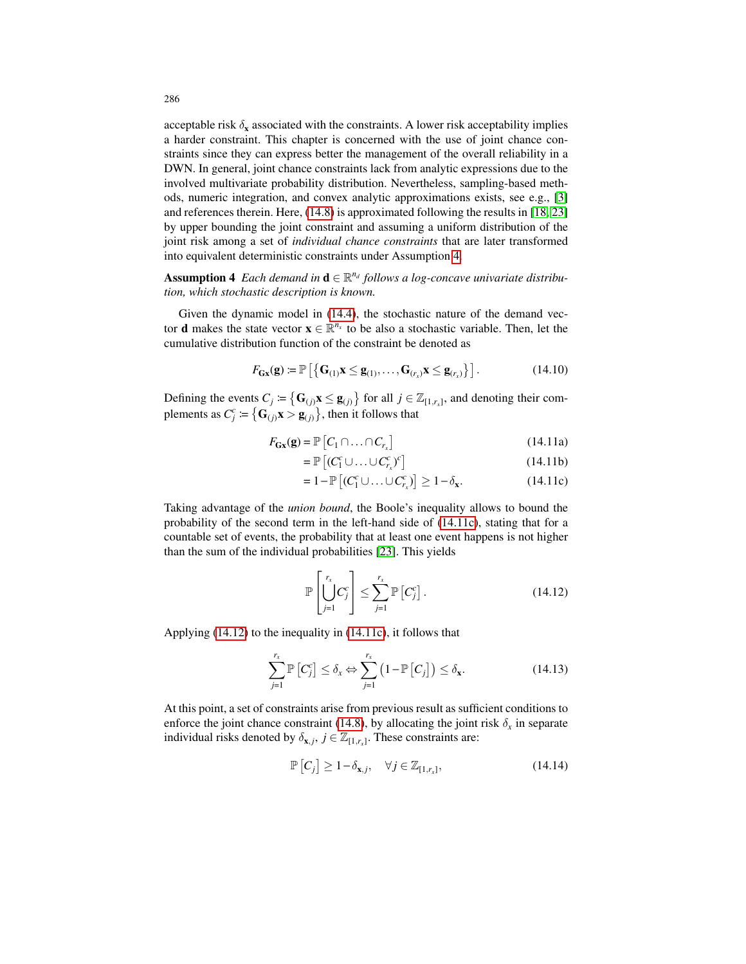acceptable risk  $\delta_x$  associated with the constraints. A lower risk acceptability implies a harder constraint. This chapter is concerned with the use of joint chance constraints since they can express better the management of the overall reliability in a DWN. In general, joint chance constraints lack from analytic expressions due to the involved multivariate probability distribution. Nevertheless, sampling-based methods, numeric integration, and convex analytic approximations exists, see e.g., [3] and references therein. Here, (14.8) is approximated following the results in [18, 23] by upper bounding the joint constraint and assuming a uniform distribution of the joint risk among a set of *individual chance constraints* that are later transformed into equivalent deterministic constraints under Assumption 4.

Assumption 4 *Each demand in*  $\mathbf{d} \in \mathbb{R}^{n_d}$  follows a log-concave univariate distribu*tion, which stochastic description is known.*

Given the dynamic model in (14.4), the stochastic nature of the demand vector **d** makes the state vector  $\mathbf{x} \in \mathbb{R}^{n_x}$  to be also a stochastic variable. Then, let the cumulative distribution function of the constraint be denoted as

$$
F_{\mathbf{G}\mathbf{x}}(\mathbf{g}) \coloneqq \mathbb{P}\left[\left\{\mathbf{G}_{(1)}\mathbf{x} \leq \mathbf{g}_{(1)},\dots,\mathbf{G}_{(r_x)}\mathbf{x} \leq \mathbf{g}_{(r_x)}\right\}\right].\tag{14.10}
$$

Defining the events  $C_j \coloneqq \{ G_{(j)} \mathbf{x} \leq \mathbf{g}_{(j)} \}$  for all  $j \in \mathbb{Z}_{[1,r_x]}$ , and denoting their complements as  $C_j^c \coloneqq \left\{ \mathbf{G}_{(j)} \mathbf{x} > \mathbf{g}_{(j)} \right\}$ , then it follows that

$$
F_{\mathbf{G}\mathbf{x}}(\mathbf{g}) = \mathbb{P}\left[C_1 \cap \ldots \cap C_{r_x}\right] \tag{14.11a}
$$

$$
= \mathbb{P}\left[ (C_1^c \cup \ldots \cup C_{r_x}^c)^c \right] \tag{14.11b}
$$

$$
=1-\mathbb{P}\left[(C_1^c\cup\ldots\cup C_{r_x}^c)\right]\geq 1-\delta_{\mathbf{x}}.\tag{14.11c}
$$

Taking advantage of the *union bound*, the Boole's inequality allows to bound the probability of the second term in the left-hand side of (14.11c), stating that for a countable set of events, the probability that at least one event happens is not higher than the sum of the individual probabilities [23]. This yields

$$
\mathbb{P}\left[\bigcup_{j=1}^{r_x} C_j^c\right] \le \sum_{j=1}^{r_x} \mathbb{P}\left[C_j^c\right]. \tag{14.12}
$$

Applying (14.12) to the inequality in (14.11c), it follows that

$$
\sum_{j=1}^{r_x} \mathbb{P}\left[C_j^c\right] \le \delta_x \Leftrightarrow \sum_{j=1}^{r_x} \left(1 - \mathbb{P}\left[C_j\right]\right) \le \delta_x. \tag{14.13}
$$

At this point, a set of constraints arise from previous result as sufficient conditions to enforce the joint chance constraint (14.8), by allocating the joint risk  $\delta_x$  in separate individual risks denoted by  $\delta_{\mathbf{x},j}, j \in \mathbb{Z}_{[1,r_x]}$ . These constraints are:

$$
\mathbb{P}\left[C_j\right] \ge 1 - \delta_{\mathbf{x},j}, \quad \forall j \in \mathbb{Z}_{[1,r_x]},\tag{14.14}
$$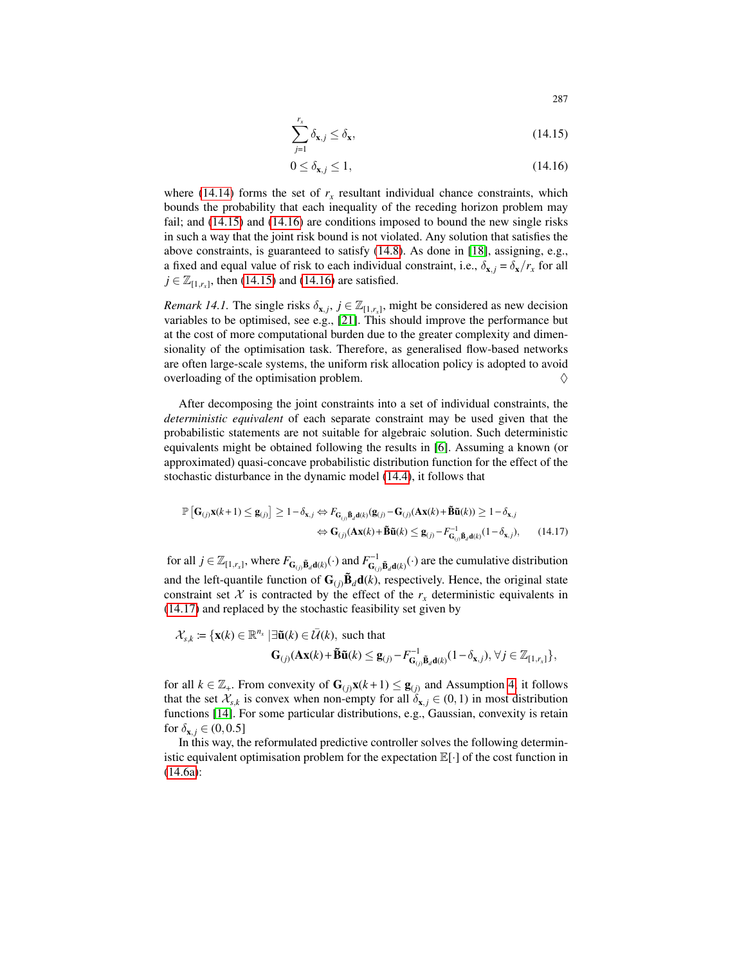$$
\sum_{j=1}^{r_x} \delta_{\mathbf{x},j} \le \delta_{\mathbf{x}},\tag{14.15}
$$

$$
0 \le \delta_{\mathbf{x},j} \le 1,\tag{14.16}
$$

where (14.14) forms the set of  $r<sub>x</sub>$  resultant individual chance constraints, which bounds the probability that each inequality of the receding horizon problem may fail; and (14.15) and (14.16) are conditions imposed to bound the new single risks in such a way that the joint risk bound is not violated. Any solution that satisfies the above constraints, is guaranteed to satisfy (14.8). As done in [18], assigning, e.g., a fixed and equal value of risk to each individual constraint, i.e.,  $\delta_{\mathbf{x},j} = \delta_{\mathbf{x}}/r_x$  for all  $j \in \mathbb{Z}_{[1,r_x]}$ , then (14.15) and (14.16) are satisfied.

*Remark 14.1.* The single risks  $\delta_{\mathbf{x},j}, j \in \mathbb{Z}_{[1,r_x]}$ , might be considered as new decision variables to be optimised, see e.g., [21]. This should improve the performance but at the cost of more computational burden due to the greater complexity and dimensionality of the optimisation task. Therefore, as generalised flow-based networks are often large-scale systems, the uniform risk allocation policy is adopted to avoid overloading of the optimisation problem.  $\Diamond$ 

After decomposing the joint constraints into a set of individual constraints, the *deterministic equivalent* of each separate constraint may be used given that the probabilistic statements are not suitable for algebraic solution. Such deterministic equivalents might be obtained following the results in [6]. Assuming a known (or approximated) quasi-concave probabilistic distribution function for the effect of the stochastic disturbance in the dynamic model (14.4), it follows that

$$
\mathbb{P}\left[\mathbf{G}_{(j)}\mathbf{x}(k+1)\leq\mathbf{g}_{(j)}\right] \geq 1-\delta_{\mathbf{x},j} \Leftrightarrow F_{\mathbf{G}_{(j)}\tilde{\mathbf{B}}_d\mathbf{d}(k)}(\mathbf{g}_{(j)}-\mathbf{G}_{(j)}(\mathbf{A}\mathbf{x}(k)+\tilde{\mathbf{B}}\tilde{\mathbf{u}}(k))\geq 1-\delta_{\mathbf{x},j} \Leftrightarrow \mathbf{G}_{(j)}(\mathbf{A}\mathbf{x}(k)+\tilde{\mathbf{B}}\tilde{\mathbf{u}}(k)\leq\mathbf{g}_{(j)}-F_{\mathbf{G}_{(j)}\tilde{\mathbf{B}}_d\mathbf{d}(k)}^{-1}(1-\delta_{\mathbf{x},j}),
$$
(14.17)

for all  $j \in \mathbb{Z}_{[1,r_x]}$ , where  $F_{\mathbf{G}_{(j)}\mathbf{\tilde{B}}_d\mathbf{d}(k)}(\cdot)$  and  $F_{\mathbf{G}_{(j)}\mathbf{\tilde{B}}_d\mathbf{d}(k)}^{-1}(\cdot)$  are the cumulative distribution and the left-quantile function of  $\mathbf{G}_{(j)}\mathbf{\tilde{B}}_d\mathbf{d}(k)$ , respectively. Hence, the original state constraint set  $X$  is contracted by the effect of the  $r<sub>x</sub>$  deterministic equivalents in (14.17) and replaced by the stochastic feasibility set given by

$$
\mathcal{X}_{s,k} := \{ \mathbf{x}(k) \in \mathbb{R}^{n_x} \mid \exists \widetilde{\mathbf{u}}(k) \in \overline{\mathcal{U}}(k), \text{ such that}
$$
  

$$
\mathbf{G}_{(j)}(\mathbf{A}\mathbf{x}(k) + \widetilde{\mathbf{B}}\widetilde{\mathbf{u}}(k) \leq \mathbf{g}_{(j)} - F_{\mathbf{G}_{(j)}}^{-1} \widetilde{\mathbf{B}}_{d(k)}(1 - \delta_{\mathbf{x},j}), \forall j \in \mathbb{Z}_{[1,r_x]}\},
$$

for all  $k \in \mathbb{Z}_+$ . From convexity of  $\mathbf{G}_{(j)}\mathbf{x}(k+1) \le \mathbf{g}_{(j)}$  and Assumption 4, it follows that the set  $\mathcal{X}_{s,k}$  is convex when non-empty for all  $\delta_{\mathbf{x},j} \in (0,1)$  in most distribution functions [14]. For some particular distributions, e.g., Gaussian, convexity is retain for  $\delta_{\mathbf{x}}$ ,  $\in (0, 0.5]$ 

In this way, the reformulated predictive controller solves the following deterministic equivalent optimisation problem for the expectation  $\mathbb{E}[\cdot]$  of the cost function in (14.6a):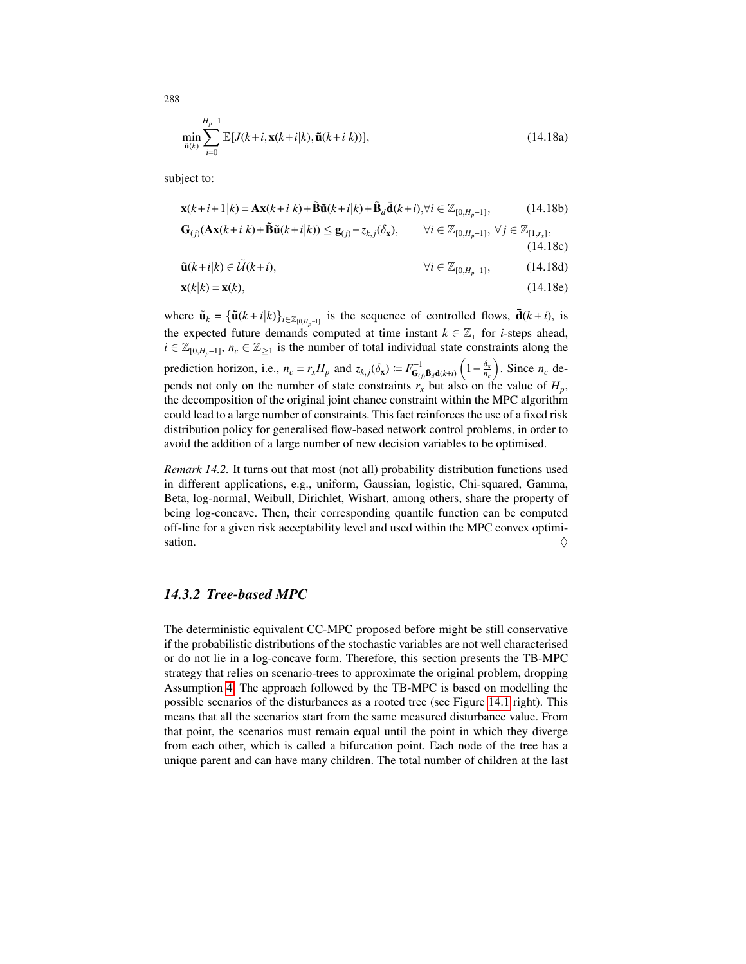$$
\min_{\tilde{\mathbf{u}}(k)} \sum_{i=0}^{H_p-1} \mathbb{E}[J(k+i, \mathbf{x}(k+i|k), \tilde{\mathbf{u}}(k+i|k))],
$$
\n(14.18a)

subject to:

$$
\mathbf{x}(k+i+1|k) = \mathbf{A}\mathbf{x}(k+i|k) + \tilde{\mathbf{B}}\tilde{\mathbf{u}}(k+i|k) + \tilde{\mathbf{B}}_d\bar{\mathbf{d}}(k+i), \forall i \in \mathbb{Z}_{[0,H_p-1]},
$$
(14.18b)  
\n
$$
\mathbf{G}_{(j)}(\mathbf{A}\mathbf{x}(k+i|k) + \tilde{\mathbf{B}}\tilde{\mathbf{u}}(k+i|k)) \le \mathbf{g}_{(j)} - z_{k,j}(\delta_{\mathbf{x}}), \qquad \forall i \in \mathbb{Z}_{[0,H_p-1]}, \forall j \in \mathbb{Z}_{[1,r_x]},
$$
(14.18c)  
\n
$$
\tilde{\mathbf{u}}(k+i|k) \in \tilde{\mathcal{U}}(k+i), \qquad \forall i \in \mathbb{Z}_{[0,H_p-1]},
$$
(14.18d)

$$
\mathbf{x}(k|k) = \mathbf{x}(k),\tag{14.18e}
$$

where  $\tilde{\mathbf{u}}_k = {\{\tilde{\mathbf{u}}(k+i|k)\}_{i \in \mathbb{Z}_{[0,H_p-1]}}}$  is the sequence of controlled flows,  $\overline{\mathbf{d}}(k+i)$ , is the expected future demands computed at time instant  $k \in \mathbb{Z}_+$  for *i*-steps ahead,  $i \in \mathbb{Z}_{[0,H_p-1]}$ ,  $n_c \in \mathbb{Z}_{\ge 1}$  is the number of total individual state constraints along the prediction horizon, i.e.,  $n_c = r_x H_p$  and  $z_{k,j}(\delta_x) = F_{G_{(j)}}^{-1} \tilde{B}_{d}(k+i) \left(1 - \frac{\delta_x}{n_c}\right)$ . Since  $n_c$  depends not only on the number of state constraints  $r_x$  but also on the value of  $H_p$ , the decomposition of the original joint chance constraint within the MPC algorithm could lead to a large number of constraints. This fact reinforces the use of a fixed risk distribution policy for generalised flow-based network control problems, in order to avoid the addition of a large number of new decision variables to be optimised.

*Remark 14.2.* It turns out that most (not all) probability distribution functions used in different applications, e.g., uniform, Gaussian, logistic, Chi-squared, Gamma, Beta, log-normal, Weibull, Dirichlet, Wishart, among others, share the property of being log-concave. Then, their corresponding quantile function can be computed off-line for a given risk acceptability level and used within the MPC convex optimisation.  $\Diamond$ 

# *14.3.2 Tree-based MPC*

The deterministic equivalent CC-MPC proposed before might be still conservative if the probabilistic distributions of the stochastic variables are not well characterised or do not lie in a log-concave form. Therefore, this section presents the TB-MPC strategy that relies on scenario-trees to approximate the original problem, dropping Assumption 4. The approach followed by the TB-MPC is based on modelling the possible scenarios of the disturbances as a rooted tree (see Figure 14.1 right). This means that all the scenarios start from the same measured disturbance value. From that point, the scenarios must remain equal until the point in which they diverge from each other, which is called a bifurcation point. Each node of the tree has a unique parent and can have many children. The total number of children at the last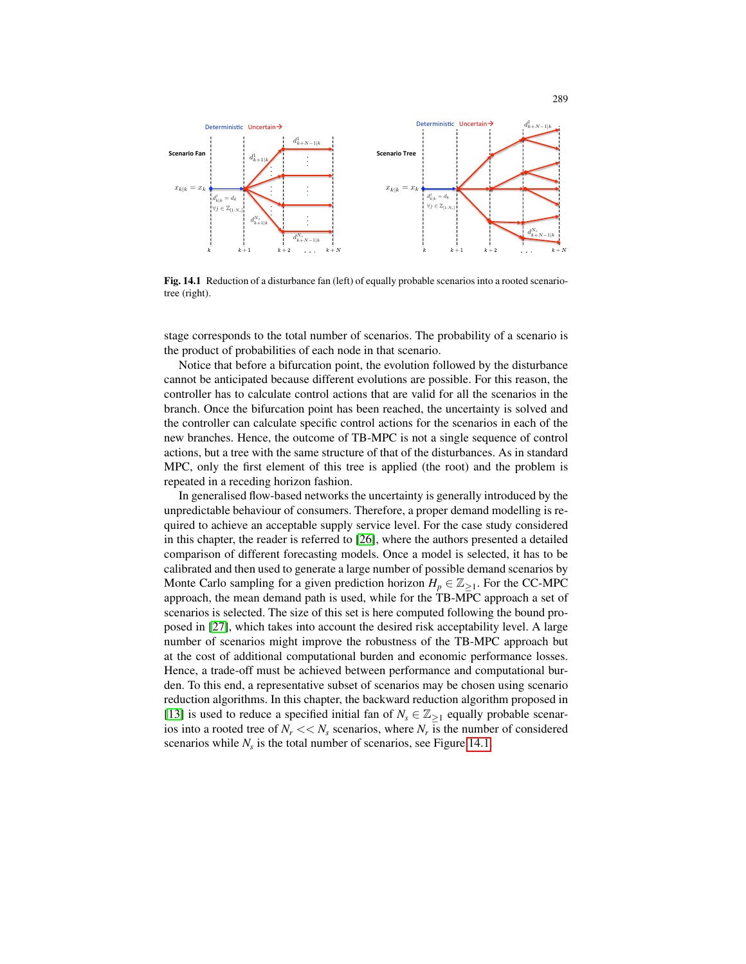

Fig. 14.1 Reduction of a disturbance fan (left) of equally probable scenarios into a rooted scenariotree (right).

stage corresponds to the total number of scenarios. The probability of a scenario is the product of probabilities of each node in that scenario.

Notice that before a bifurcation point, the evolution followed by the disturbance cannot be anticipated because different evolutions are possible. For this reason, the controller has to calculate control actions that are valid for all the scenarios in the branch. Once the bifurcation point has been reached, the uncertainty is solved and the controller can calculate specific control actions for the scenarios in each of the new branches. Hence, the outcome of TB-MPC is not a single sequence of control actions, but a tree with the same structure of that of the disturbances. As in standard MPC, only the first element of this tree is applied (the root) and the problem is repeated in a receding horizon fashion.

In generalised flow-based networks the uncertainty is generally introduced by the unpredictable behaviour of consumers. Therefore, a proper demand modelling is required to achieve an acceptable supply service level. For the case study considered in this chapter, the reader is referred to [26], where the authors presented a detailed comparison of different forecasting models. Once a model is selected, it has to be calibrated and then used to generate a large number of possible demand scenarios by Monte Carlo sampling for a given prediction horizon  $H_p \in \mathbb{Z}_{\geq 1}$ . For the CC-MPC approach, the mean demand path is used, while for the TB-MPC approach a set of scenarios is selected. The size of this set is here computed following the bound proposed in [27], which takes into account the desired risk acceptability level. A large number of scenarios might improve the robustness of the TB-MPC approach but at the cost of additional computational burden and economic performance losses. Hence, a trade-off must be achieved between performance and computational burden. To this end, a representative subset of scenarios may be chosen using scenario reduction algorithms. In this chapter, the backward reduction algorithm proposed in [13] is used to reduce a specified initial fan of  $N_s \in \mathbb{Z}_{\geq 1}$  equally probable scenarios into a rooted tree of  $N_r \ll N_s$  scenarios, where  $N_r$  is the number of considered scenarios while  $N_s$  is the total number of scenarios, see Figure 14.1.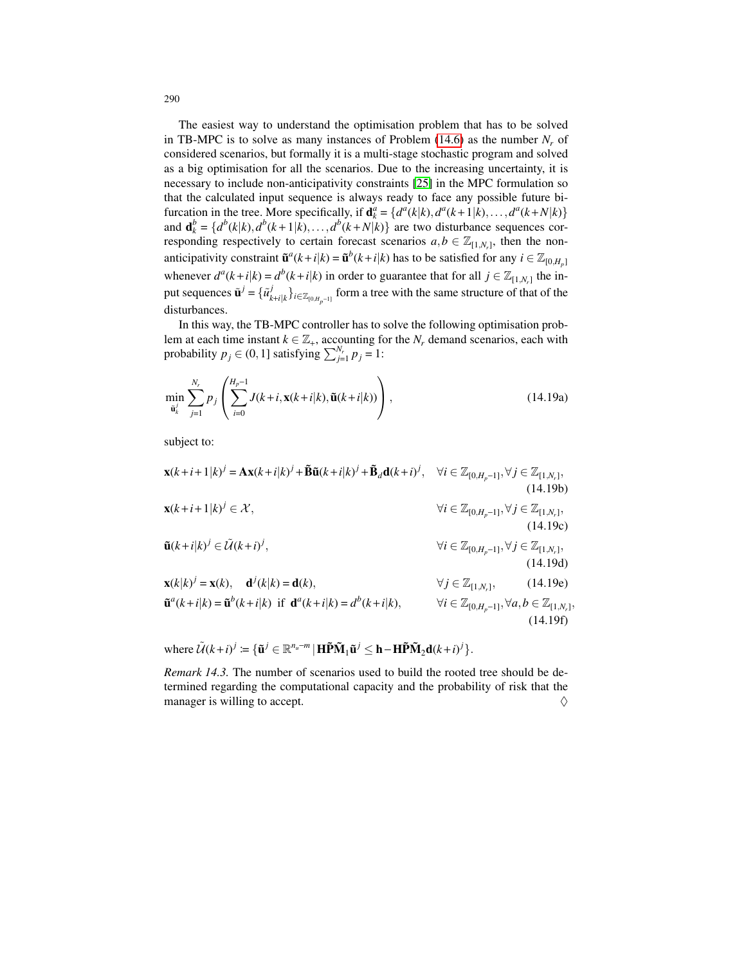The easiest way to understand the optimisation problem that has to be solved in TB-MPC is to solve as many instances of Problem  $(14.6)$  as the number  $N_r$  of considered scenarios, but formally it is a multi-stage stochastic program and solved as a big optimisation for all the scenarios. Due to the increasing uncertainty, it is necessary to include non-anticipativity constraints [25] in the MPC formulation so that the calculated input sequence is always ready to face any possible future bifurcation in the tree. More specifically, if  $\mathbf{d}_k^a = \{d^a(k|k), d^a(k+1|k), \ldots, d^a(k+N|k)\}\$ and  $\mathbf{d}_k^b = \{d^b(k|k), d^b(k+1|k), \ldots, d^b(k+N|k)\}\$  are two disturbance sequences corresponding respectively to certain forecast scenarios  $a, b \in \mathbb{Z}_{[1,N_r]}$ , then the nonanticipativity constraint  $\tilde{\mathbf{u}}^a(k+i|k) = \tilde{\mathbf{u}}^b(k+i|k)$  has to be satisfied for any  $i \in \mathbb{Z}_{[0,H_p]}$ whenever  $d^a(k+i|k) = d^b(k+i|k)$  in order to guarantee that for all  $j \in \mathbb{Z}_{[1,N_r]}$  the input sequences  $\tilde{\mathbf{u}}^j = {\tilde{u}_k^j}$  $\{f_{k+i|k}\}_{i\in\mathbb{Z}_{[0,H_p-1]}}$  form a tree with the same structure of that of the disturbances.

In this way, the TB-MPC controller has to solve the following optimisation problem at each time instant  $k \in \mathbb{Z}_+$ , accounting for the  $N_r$  demand scenarios, each with probability  $p_j \in (0, 1]$  satisfying  $\sum_{j=1}^{N_r} p_j = 1$ :

$$
\min_{\tilde{\mathbf{u}}_k^j} \sum_{j=1}^{N_r} p_j \left( \sum_{i=0}^{H_p - 1} J(k+i, \mathbf{x}(k+i|k), \tilde{\mathbf{u}}(k+i|k)) \right), \tag{14.19a}
$$

subject to:

$$
\mathbf{x}(k+i+1|k)^{j} = \mathbf{A}\mathbf{x}(k+i|k)^{j} + \tilde{\mathbf{B}}\tilde{\mathbf{u}}(k+i|k)^{j} + \tilde{\mathbf{B}}_{d}(\mathbf{d}(k+i)^{j}, \forall i \in \mathbb{Z}_{[0,H_{p}-1]}, \forall j \in \mathbb{Z}_{[1,N_{r}]},
$$
\n
$$
\mathbf{x}(k+i+1|k)^{j} \in \mathcal{X}, \qquad \forall i \in \mathbb{Z}_{[0,H_{p}-1]}, \forall j \in \mathbb{Z}_{[1,N_{r}]},
$$
\n
$$
\tilde{\mathbf{u}}(k+i|k)^{j} \in \tilde{\mathcal{U}}(k+i)^{j}, \qquad \forall i \in \mathbb{Z}_{[0,H_{p}-1]}, \forall j \in \mathbb{Z}_{[1,N_{r}]},
$$
\n
$$
\tilde{\mathbf{u}}(k+i|k)^{j} = \mathbf{x}(k), \qquad \mathbf{d}^{j}(k|k) = \mathbf{d}(k), \qquad \forall j \in \mathbb{Z}_{[1,N_{r}]},
$$
\n
$$
\tilde{\mathbf{u}}^{a}(k+i|k) = \tilde{\mathbf{u}}^{b}(k+i|k) \text{ if } \mathbf{d}^{a}(k+i|k) = d^{b}(k+i|k), \qquad \forall i \in \mathbb{Z}_{[0,H_{p}-1]}, \forall a, b \in \mathbb{Z}_{[1,N_{r}]},
$$
\n
$$
(14.196)
$$
\n
$$
(14.197)
$$

,

where  $\widetilde{\mathcal{U}}(k+i)^j \coloneqq \{ \widetilde{\mathbf{u}}^j \in \mathbb{R}^{n_u-m} \mid \mathbf{H} \widetilde{\mathbf{P}} \widetilde{\mathbf{M}}_1 \widetilde{\mathbf{u}}^j \leq \mathbf{h} - \mathbf{H} \widetilde{\mathbf{P}} \widetilde{\mathbf{M}}_2 \mathbf{d}(k+i)^j \}.$ 

*Remark 14.3.* The number of scenarios used to build the rooted tree should be determined regarding the computational capacity and the probability of risk that the manager is willing to accept.  $\Diamond$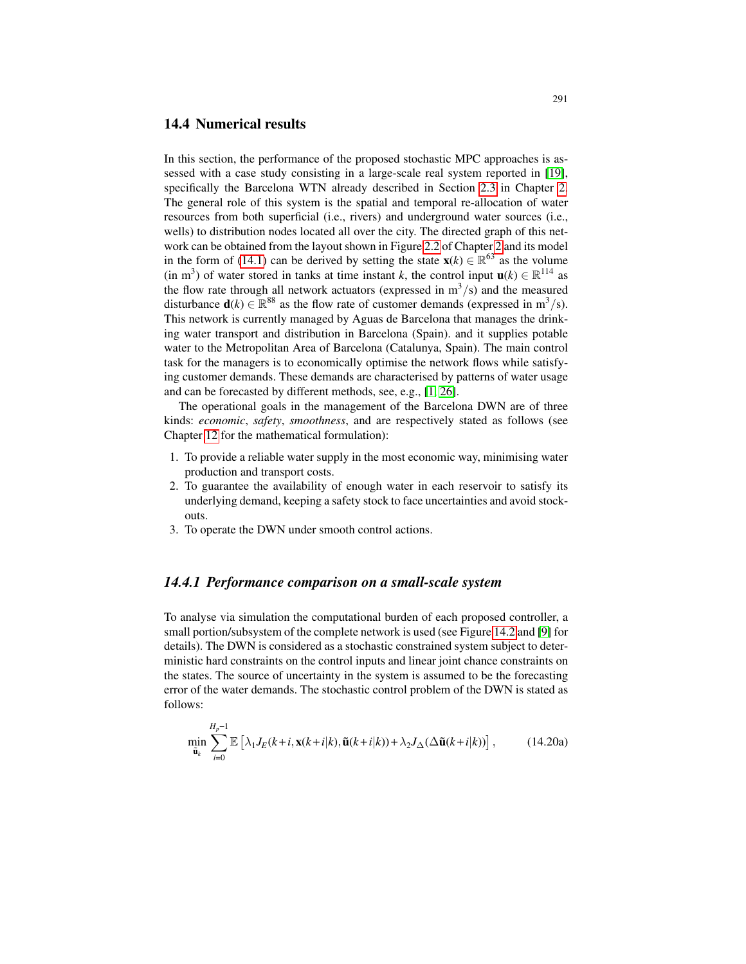#### 14.4 Numerical results

In this section, the performance of the proposed stochastic MPC approaches is assessed with a case study consisting in a large-scale real system reported in [19], specifically the Barcelona WTN already described in Section 2.3 in Chapter 2. The general role of this system is the spatial and temporal re-allocation of water resources from both superficial (i.e., rivers) and underground water sources (i.e., wells) to distribution nodes located all over the city. The directed graph of this network can be obtained from the layout shown in Figure 2.2 of Chapter 2 and its model in the form of (14.1) can be derived by setting the state  $\mathbf{x}(k) \in \mathbb{R}^{63}$  as the volume (in m<sup>3</sup>) of water stored in tanks at time instant *k*, the control input  $\mathbf{u}(k) \in \mathbb{R}^{114}$  as the flow rate through all network actuators (expressed in  $m^3/s$ ) and the measured disturbance  $\mathbf{d}(k) \in \mathbb{R}^{88}$  as the flow rate of customer demands (expressed in m<sup>3</sup>/s). This network is currently managed by Aguas de Barcelona that manages the drinking water transport and distribution in Barcelona (Spain). and it supplies potable water to the Metropolitan Area of Barcelona (Catalunya, Spain). The main control task for the managers is to economically optimise the network flows while satisfying customer demands. These demands are characterised by patterns of water usage and can be forecasted by different methods, see, e.g., [1, 26].

The operational goals in the management of the Barcelona DWN are of three kinds: *economic*, *safety*, *smoothness*, and are respectively stated as follows (see Chapter 12 for the mathematical formulation):

- 1. To provide a reliable water supply in the most economic way, minimising water production and transport costs.
- 2. To guarantee the availability of enough water in each reservoir to satisfy its underlying demand, keeping a safety stock to face uncertainties and avoid stockouts.
- 3. To operate the DWN under smooth control actions.

# *14.4.1 Performance comparison on a small-scale system*

To analyse via simulation the computational burden of each proposed controller, a small portion/subsystem of the complete network is used (see Figure 14.2 and [9] for details). The DWN is considered as a stochastic constrained system subject to deterministic hard constraints on the control inputs and linear joint chance constraints on the states. The source of uncertainty in the system is assumed to be the forecasting error of the water demands. The stochastic control problem of the DWN is stated as follows:

$$
\min_{\tilde{\mathbf{u}}_k} \sum_{i=0}^{H_p-1} \mathbb{E}\left[\lambda_1 J_E(k+i, \mathbf{x}(k+i|k), \tilde{\mathbf{u}}(k+i|k)) + \lambda_2 J_\Delta(\Delta \tilde{\mathbf{u}}(k+i|k))\right],\tag{14.20a}
$$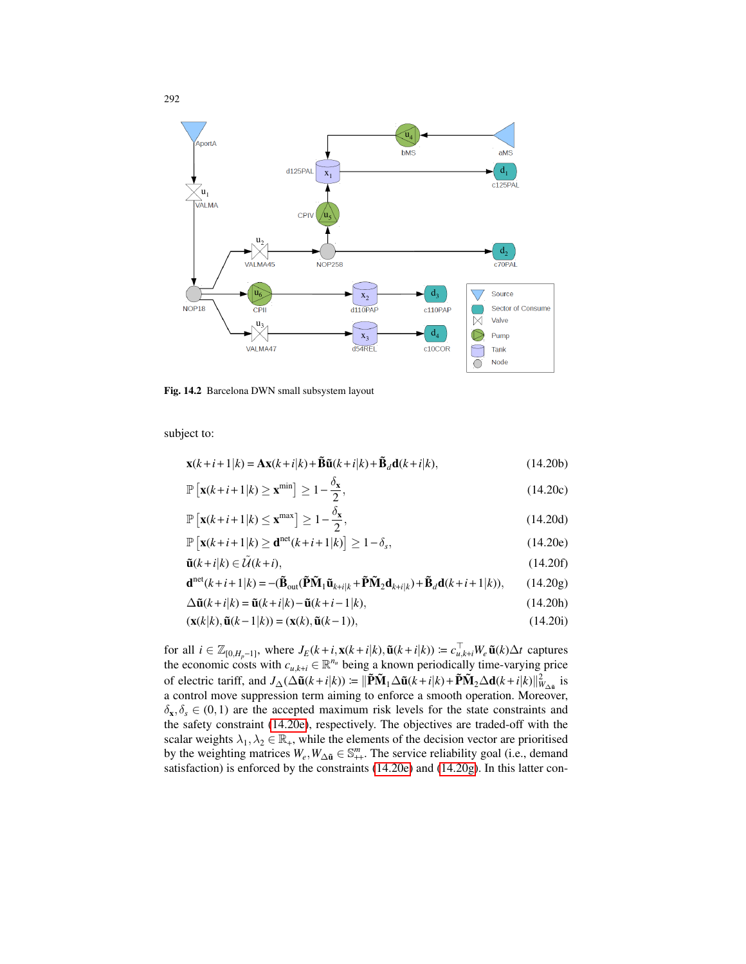

Fig. 14.2 Barcelona DWN small subsystem layout

subject to:

$$
\mathbf{x}(k+i+1|k) = \mathbf{A}\mathbf{x}(k+i|k) + \tilde{\mathbf{B}}\tilde{\mathbf{u}}(k+i|k) + \tilde{\mathbf{B}}_d\mathbf{d}(k+i|k),
$$
(14.20b)

$$
\mathbb{P}\left[\mathbf{x}(k+i+1|k) \ge \mathbf{x}^{\min}\right] \ge 1 - \frac{\delta_{\mathbf{x}}}{2},\tag{14.20c}
$$

$$
\mathbb{P}\left[\mathbf{x}(k+i+1|k) \le \mathbf{x}^{\max}\right] \ge 1 - \frac{\delta_{\mathbf{x}}}{2},\tag{14.20d}
$$

$$
\mathbb{P}\left[\mathbf{x}(k+i+1|k) \ge \mathbf{d}^{\text{net}}(k+i+1|k)\right] \ge 1-\delta_s,\tag{14.20e}
$$

$$
\tilde{\mathbf{u}}(k+i|k) \in \tilde{\mathcal{U}}(k+i),\tag{14.20f}
$$

$$
\mathbf{d}^{\text{net}}(k+i+1|k) = -(\tilde{\mathbf{B}}_{\text{out}}(\tilde{\mathbf{P}}\tilde{\mathbf{M}}_1\tilde{\mathbf{u}}_{k+i|k} + \tilde{\mathbf{P}}\tilde{\mathbf{M}}_2\mathbf{d}_{k+i|k}) + \tilde{\mathbf{B}}_d\mathbf{d}(k+i+1|k)),
$$
 (14.20g)

$$
\Delta \tilde{\mathbf{u}}(k+i|k) = \tilde{\mathbf{u}}(k+i|k) - \tilde{\mathbf{u}}(k+i-1|k),
$$
\n(14.20h)

$$
(\mathbf{x}(k|k), \tilde{\mathbf{u}}(k-1|k)) = (\mathbf{x}(k), \tilde{\mathbf{u}}(k-1)),
$$
\n(14.20i)

for all  $i \in \mathbb{Z}_{[0,H_p-1]}$ , where  $J_E(k+i, \mathbf{x}(k+i|k), \tilde{\mathbf{u}}(k+i|k)) = c_{u,k+i}^{\perp} W_e \tilde{\mathbf{u}}(k) \Delta t$  captures the economic costs with  $c_{u,k+i} \in \mathbb{R}^{n_u}$  being a known periodically time-varying price of electric tariff, and  $J_{\Delta}(\Delta \tilde{\mathbf{u}}(k+i|k)) \coloneqq ||\tilde{\mathbf{P}}\tilde{\mathbf{M}}_1\Delta \tilde{\mathbf{u}}(k+i|k) + \tilde{\mathbf{P}}\tilde{\mathbf{M}}_2\Delta \mathbf{d}(k+i|k)||_{W_{\Delta \tilde{\mathbf{u}}}}^2$  is a control move suppression term aiming to enforce a smooth operation. Moreover,  $\delta_{\mathbf{x}}, \delta_{\mathbf{s}} \in (0,1)$  are the accepted maximum risk levels for the state constraints and the safety constraint (14.20e), respectively. The objectives are traded-off with the scalar weights  $\lambda_1, \lambda_2 \in \mathbb{R}_+$ , while the elements of the decision vector are prioritised by the weighting matrices  $W_e, W_{\Delta \tilde{u}} \in \mathbb{S}^m_{++}$ . The service reliability goal (i.e., demand satisfaction) is enforced by the constraints (14.20e) and (14.20g). In this latter con-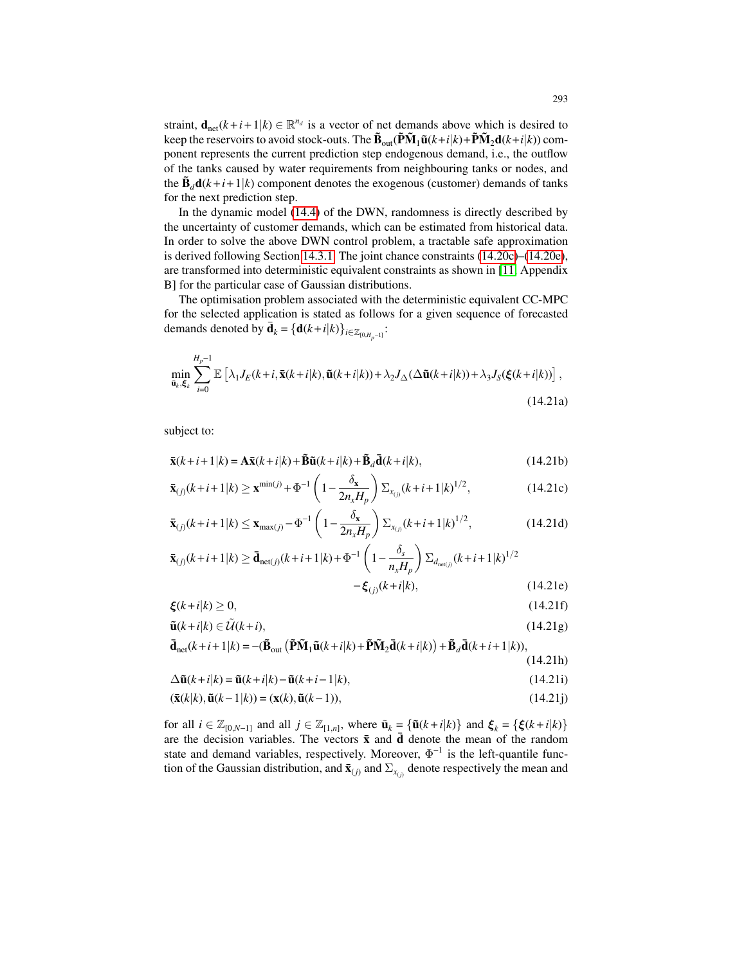straint,  $\mathbf{d}_{\text{net}}(k+i+1|k) \in \mathbb{R}^{n_d}$  is a vector of net demands above which is desired to keep the reservoirs to avoid stock-outs. The  $\mathbf{\tilde{B}}_{out}(\tilde{\mathbf{P}}\tilde{\mathbf{M}}_1\tilde{\mathbf{u}}(k+i|k)+\tilde{\mathbf{P}}\tilde{\mathbf{M}}_2\mathbf{d}(k+i|k))$  component represents the current prediction step endogenous demand, i.e., the outflow of the tanks caused by water requirements from neighbouring tanks or nodes, and the  $\tilde{\mathbf{B}}_d\mathbf{d}(k+i+1|k)$  component denotes the exogenous (customer) demands of tanks for the next prediction step.

In the dynamic model (14.4) of the DWN, randomness is directly described by the uncertainty of customer demands, which can be estimated from historical data. In order to solve the above DWN control problem, a tractable safe approximation is derived following Section 14.3.1. The joint chance constraints (14.20c)–(14.20e), are transformed into deterministic equivalent constraints as shown in [11, Appendix B] for the particular case of Gaussian distributions.

The optimisation problem associated with the deterministic equivalent CC-MPC for the selected application is stated as follows for a given sequence of forecasted demands denoted by  $\bar{\mathbf{d}}_k = {\mathbf{d}(k+i|k)}_{i \in \mathbb{Z}_{[0,H_{p^{-1}}]}}$ :

$$
\min_{\tilde{\mathbf{u}}_k,\xi_k} \sum_{i=0}^{H_p-1} \mathbb{E}\left[\lambda_1 J_E(k+i,\bar{\mathbf{x}}(k+i|k),\tilde{\mathbf{u}}(k+i|k)) + \lambda_2 J_\Delta(\Delta \tilde{\mathbf{u}}(k+i|k)) + \lambda_3 J_S(\xi(k+i|k))\right],\tag{14.21a}
$$

subject to:

$$
\overline{\mathbf{x}}(k+i+1|k) = \mathbf{A}\overline{\mathbf{x}}(k+i|k) + \widetilde{\mathbf{B}}\widetilde{\mathbf{u}}(k+i|k) + \widetilde{\mathbf{B}}_d\overline{\mathbf{d}}(k+i|k),
$$
\n(14.21b)

$$
\bar{\mathbf{x}}_{(j)}(k+i+1|k) \ge \mathbf{x}^{\min(j)} + \Phi^{-1} \left( 1 - \frac{\delta_{\mathbf{x}}}{2n_{x}H_{p}} \right) \Sigma_{x_{(j)}}(k+i+1|k)^{1/2}, \tag{14.21c}
$$

$$
\bar{\mathbf{x}}_{(j)}(k+i+1|k) \le \mathbf{x}_{\max(j)} - \Phi^{-1}\left(1 - \frac{\delta_{\mathbf{x}}}{2n_{x}H_{p}}\right) \Sigma_{x_{(j)}}(k+i+1|k)^{1/2},
$$
\n(14.21d)

$$
\bar{\mathbf{x}}_{(j)}(k+i+1|k) \ge \bar{\mathbf{d}}_{\text{net}(j)}(k+i+1|k) + \Phi^{-1} \left( 1 - \frac{\delta_s}{n_x H_p} \right) \Sigma_{d_{\text{net}(j)}}(k+i+1|k)^{1/2} - \xi_{(j)}(k+i|k), \tag{14.21e}
$$

$$
\xi(k+i|k) \ge 0,\tag{14.21f}
$$

$$
\tilde{\mathbf{u}}(k+i|k) \in \tilde{\mathcal{U}}(k+i),\tag{14.21g}
$$

$$
\overline{\mathbf{d}}_{\text{net}}(k+i+1|k) = -(\widetilde{\mathbf{B}}_{\text{out}}\left(\widetilde{\mathbf{P}}\widetilde{\mathbf{M}}_1\widetilde{\mathbf{u}}(k+i|k) + \widetilde{\mathbf{P}}\widetilde{\mathbf{M}}_2\overline{\mathbf{d}}(k+i|k)\right) + \widetilde{\mathbf{B}}_d\overline{\mathbf{d}}(k+i+1|k)),
$$

$$
\Delta \tilde{\mathbf{u}}(k+i|k) = \tilde{\mathbf{u}}(k+i|k) - \tilde{\mathbf{u}}(k+i-1|k).
$$
\n(14.21b)

$$
(\bar{\mathbf{x}}(k|k), \tilde{\mathbf{u}}(k-1|k)) = (\mathbf{x}(k), \tilde{\mathbf{u}}(k-1)),
$$
\n(14.21j)

$$
\sum_{i=1}^{n} \frac{1}{i} \sum_{j=1}^{n} \frac{1}{j} \sum_{j=1}^{n} \frac{1}{j} \sum_{i=1}^{n} \frac{1}{i} \sum_{j=1}^{n} \frac{1}{j} \sum_{j=1}^{n} \frac{1}{j} \sum_{i=1}^{n} \frac{1}{j} \sum_{i=1}^{n} \frac{1}{j} \sum_{j=1}^{n} \frac{1}{j} \sum_{i=1}^{n} \frac{1}{j} \sum_{i=1}^{n} \frac{1}{j} \sum_{i=1}^{n} \frac{1}{j} \sum_{i=1}^{n} \frac{1}{j} \sum_{i=1}^{n} \frac{1}{j} \sum_{i=1}^{n} \frac{1}{j} \sum_{i=1}^{n} \frac{1}{j} \sum_{i=1}^{n} \frac{1}{j} \sum_{i=1}^{n} \frac{1}{j} \sum_{i=1}^{n} \frac{1}{j} \sum_{i=1}^{n} \frac{1}{j} \sum_{i=1}^{n} \frac{1}{j} \sum_{i=1}^{n} \frac{1}{j} \sum_{i=1}^{n} \frac{1}{j} \sum_{i=1}^{n} \frac{1}{j} \sum_{i=1}^{n} \frac{1}{j} \sum_{i=1}^{n} \frac{1}{j} \sum_{i=1}^{n} \frac{1}{j} \sum_{i=1}^{n} \frac{1}{j} \sum_{i=1}^{n} \frac{1}{j} \sum_{i=1}^{n} \frac{1}{j} \sum_{i=1}^{n} \frac{1}{j} \sum_{i=1}^{n} \frac{1}{j} \sum_{i=1}^{n} \frac{1}{j} \sum_{i=1}^{n} \frac{1}{j} \sum_{i=1}^{n} \frac{1}{j} \sum_{i=1}^{n} \frac{1}{j} \sum_{i=1}^{n} \frac{1}{j} \sum_{i=1}^{n} \frac{1}{j} \sum_{i=1}^{n} \frac{1}{j} \sum_{i=1}^{n} \frac{1}{j} \sum_{i=1}^{n} \frac{1}{j} \sum_{i=1}^{n} \frac{1}{j} \sum_{i=1}^{n} \frac{1}{j} \sum_{i=1}^{n} \frac{1}{j} \sum_{i=1}^{n} \frac
$$

for all  $i \in \mathbb{Z}_{[0,N-1]}$  and all  $j \in \mathbb{Z}_{[1,n]}$ , where  $\tilde{\mathbf{u}}_k = {\{\tilde{\mathbf{u}}(k+i|k)\}\$  and  $\xi_k = {\{\xi(k+i|k)\}\}}$ are the decision variables. The vectors  $\bar{x}$  and  $\bar{d}$  denote the mean of the random state and demand variables, respectively. Moreover,  $\Phi^{-1}$  is the left-quantile function of the Gaussian distribution, and  $\bar{\mathbf{x}}_{(j)}$  and  $\Sigma_{x_{(j)}}$  denote respectively the mean and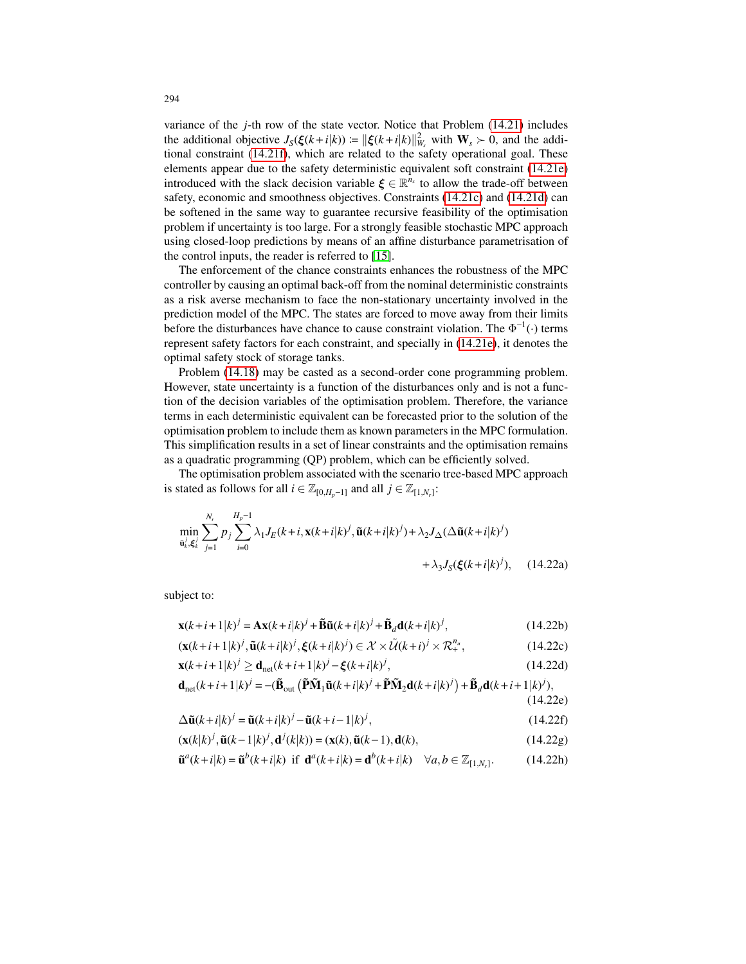variance of the *j*-th row of the state vector. Notice that Problem (14.21) includes the additional objective  $J_S(\xi(k+i|k)) \coloneqq ||\xi(k+i|k)||_{W_s}^2$  with  $\mathbf{W}_s \succ 0$ , and the additional constraint (14.21f), which are related to the safety operational goal. These elements appear due to the safety deterministic equivalent soft constraint (14.21e) introduced with the slack decision variable  $\xi \in \mathbb{R}^{n_x}$  to allow the trade-off between safety, economic and smoothness objectives. Constraints (14.21c) and (14.21d) can be softened in the same way to guarantee recursive feasibility of the optimisation problem if uncertainty is too large. For a strongly feasible stochastic MPC approach using closed-loop predictions by means of an affine disturbance parametrisation of the control inputs, the reader is referred to [15].

The enforcement of the chance constraints enhances the robustness of the MPC controller by causing an optimal back-off from the nominal deterministic constraints as a risk averse mechanism to face the non-stationary uncertainty involved in the prediction model of the MPC. The states are forced to move away from their limits before the disturbances have chance to cause constraint violation. The  $\Phi^{-1}(\cdot)$  terms represent safety factors for each constraint, and specially in (14.21e), it denotes the optimal safety stock of storage tanks.

Problem (14.18) may be casted as a second-order cone programming problem. However, state uncertainty is a function of the disturbances only and is not a function of the decision variables of the optimisation problem. Therefore, the variance terms in each deterministic equivalent can be forecasted prior to the solution of the optimisation problem to include them as known parameters in the MPC formulation. This simplification results in a set of linear constraints and the optimisation remains as a quadratic programming (QP) problem, which can be efficiently solved.

The optimisation problem associated with the scenario tree-based MPC approach is stated as follows for all  $i \in \mathbb{Z}_{[0,H_p-1]}$  and all  $j \in \mathbb{Z}_{[1,N_r]}$ :

$$
\min_{\tilde{\mathbf{u}}_k^j, \xi_k^j} \sum_{j=1}^{N_r} p_j \sum_{i=0}^{H_p - 1} \lambda_1 J_E(k + i, \mathbf{x}(k + i|k)^j, \tilde{\mathbf{u}}(k + i|k)^j) + \lambda_2 J_\Delta(\Delta \tilde{\mathbf{u}}(k + i|k)^j) + \lambda_3 J_\Delta(\xi(k + i|k)^j), \quad (14.22a)
$$

subject to:

$$
\mathbf{x}(k+i+1|k)^j = \mathbf{A}\mathbf{x}(k+i|k)^j + \widetilde{\mathbf{B}}\widetilde{\mathbf{u}}(k+i|k)^j + \widetilde{\mathbf{B}}_d\mathbf{d}(k+i|k)^j,\tag{14.22b}
$$

$$
(\mathbf{x}(k+i+1|k)^j, \tilde{\mathbf{u}}(k+i|k)^j, \xi(k+i|k)^j) \in \mathcal{X} \times \tilde{\mathcal{U}}(k+i)^j \times \mathcal{R}_+^{n_u},\tag{14.22c}
$$

$$
\mathbf{x}(k+i+1|k)^j \ge \mathbf{d}_{\text{net}}(k+i+1|k)^j - \xi(k+i|k)^j,\tag{14.22d}
$$

$$
\mathbf{d}_{\text{net}}(k+i+1|k)^j = -(\tilde{\mathbf{B}}_{\text{out}}\left(\tilde{\mathbf{P}}\tilde{\mathbf{M}}_1\tilde{\mathbf{u}}(k+i|k)^j + \tilde{\mathbf{P}}\tilde{\mathbf{M}}_2\mathbf{d}(k+i|k)^j\right) + \tilde{\mathbf{B}}_d\mathbf{d}(k+i+1|k)^j),\tag{14.22e}
$$

$$
\Delta \tilde{\mathbf{u}}(k+i|k)^j = \tilde{\mathbf{u}}(k+i|k)^j - \tilde{\mathbf{u}}(k+i-1|k)^j,
$$
\n(14.22f)

$$
(\mathbf{x}(k|k)^j, \tilde{\mathbf{u}}(k-1|k)^j, \mathbf{d}^j(k|k)) = (\mathbf{x}(k), \tilde{\mathbf{u}}(k-1), \mathbf{d}(k),
$$
\n(14.22g)

$$
\tilde{\mathbf{u}}^{a}(k+i|k) = \tilde{\mathbf{u}}^{b}(k+i|k) \text{ if } \mathbf{d}^{a}(k+i|k) = \mathbf{d}^{b}(k+i|k) \quad \forall a, b \in \mathbb{Z}_{[1,N_r]}.
$$
 (14.22h)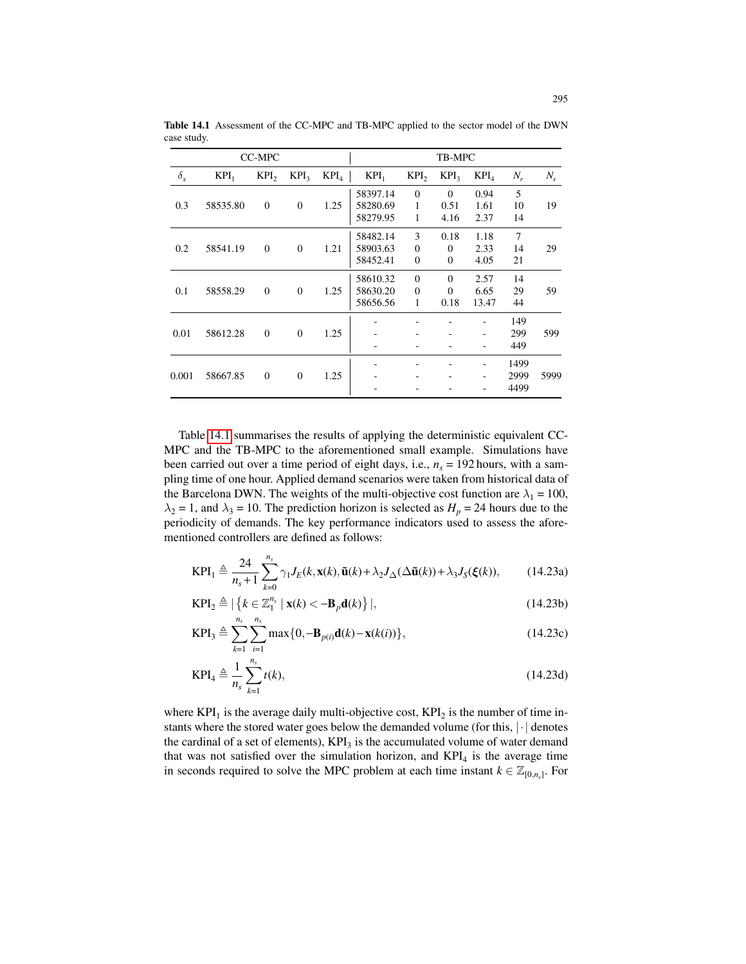| <b>CC-MPC</b> |          |                  |                  | TB-MPC           |          |                  |                  |                  |                |         |
|---------------|----------|------------------|------------------|------------------|----------|------------------|------------------|------------------|----------------|---------|
| $\delta_{x}$  | $KPI_1$  | KPI <sub>2</sub> | KPI <sub>3</sub> | KPI <sub>4</sub> | $KPI_1$  | KPI <sub>2</sub> | KPI <sub>3</sub> | KPI <sub>4</sub> | $N_r$          | $N_{s}$ |
| 0.3           | 58535.80 | $\theta$         | $\Omega$         | 1.25             | 58397.14 | $\theta$         | $\Omega$         | 0.94             | 5              |         |
|               |          |                  |                  |                  | 58280.69 | 1                | 0.51             | 1.61             | 10             | 19      |
|               |          |                  |                  |                  | 58279.95 | 1                | 4.16             | 2.37             | 14             |         |
| 0.2           | 58541.19 | $\mathbf{0}$     | $\mathbf{0}$     | 1.21             | 58482.14 | 3                | 0.18             | 1.18             | $\overline{7}$ |         |
|               |          |                  |                  |                  | 58903.63 | $\mathbf{0}$     | $\Omega$         | 2.33             | 14             | 29      |
|               |          |                  |                  |                  | 58452.41 | $\mathbf{0}$     | $\Omega$         | 4.05             | 21             |         |
| 0.1           | 58558.29 | $\Omega$         | $\Omega$         | 1.25             | 58610.32 | $\Omega$         | $\Omega$         | 2.57             | 14             | 59      |
|               |          |                  |                  |                  | 58630.20 | $\Omega$         | $\Omega$         | 6.65             | 29             |         |
|               |          |                  |                  |                  | 58656.56 | 1                | 0.18             | 13.47            | 44             |         |
|               |          |                  |                  |                  |          |                  |                  |                  | 149            |         |
| 0.01          | 58612.28 | $\mathbf{0}$     | $\Omega$         | 1.25             |          |                  |                  |                  | 299            | 599     |
|               |          |                  |                  |                  | -        |                  |                  | -                | 449            |         |
| 0.001         | 58667.85 | $\mathbf{0}$     | $\Omega$         |                  |          |                  |                  |                  | 1499           |         |
|               |          |                  |                  | 1.25             |          |                  |                  |                  | 2999           | 5999    |
|               |          |                  |                  |                  |          |                  |                  |                  |                | 4499    |

Table 14.1 Assessment of the CC-MPC and TB-MPC applied to the sector model of the DWN case study.

Table 14.1 summarises the results of applying the deterministic equivalent CC-MPC and the TB-MPC to the aforementioned small example. Simulations have been carried out over a time period of eight days, i.e.,  $n<sub>s</sub> = 192$  hours, with a sampling time of one hour. Applied demand scenarios were taken from historical data of the Barcelona DWN. The weights of the multi-objective cost function are  $\lambda_1 = 100$ ,  $\lambda_2 = 1$ , and  $\lambda_3 = 10$ . The prediction horizon is selected as  $H_p = 24$  hours due to the periodicity of demands. The key performance indicators used to assess the aforementioned controllers are defined as follows:

$$
\text{KPI}_1 \triangleq \frac{24}{n_s+1} \sum_{k=0}^{n_s} \gamma_1 J_E(k, \mathbf{x}(k), \tilde{\mathbf{u}}(k) + \lambda_2 J_\Delta(\Delta \tilde{\mathbf{u}}(k)) + \lambda_3 J_S(\xi(k)), \tag{14.23a}
$$

$$
\text{KPI}_2 \triangleq |\left\{ k \in \mathbb{Z}_1^{n_s} \mid \mathbf{x}(k) < -\mathbf{B}_p \mathbf{d}(k) \right\}|,\tag{14.23b}
$$

$$
KPI_3 \triangleq \sum_{k=1}^{n_s} \sum_{i=1}^{n_x} \max\{0, -\mathbf{B}_{p(i)}\mathbf{d}(k) - \mathbf{x}(k(i))\},
$$
 (14.23c)

$$
KPI_4 \triangleq \frac{1}{n_s} \sum_{k=1}^{n_s} t(k),
$$
\n(14.23d)

where  $KPI_1$  is the average daily multi-objective cost,  $KPI_2$  is the number of time instants where the stored water goes below the demanded volume (for this, |·| denotes the cardinal of a set of elements),  $KPI_3$  is the accumulated volume of water demand that was not satisfied over the simulation horizon, and  $KPI<sub>4</sub>$  is the average time in seconds required to solve the MPC problem at each time instant  $k \in \mathbb{Z}_{[0,n_s]}$ . For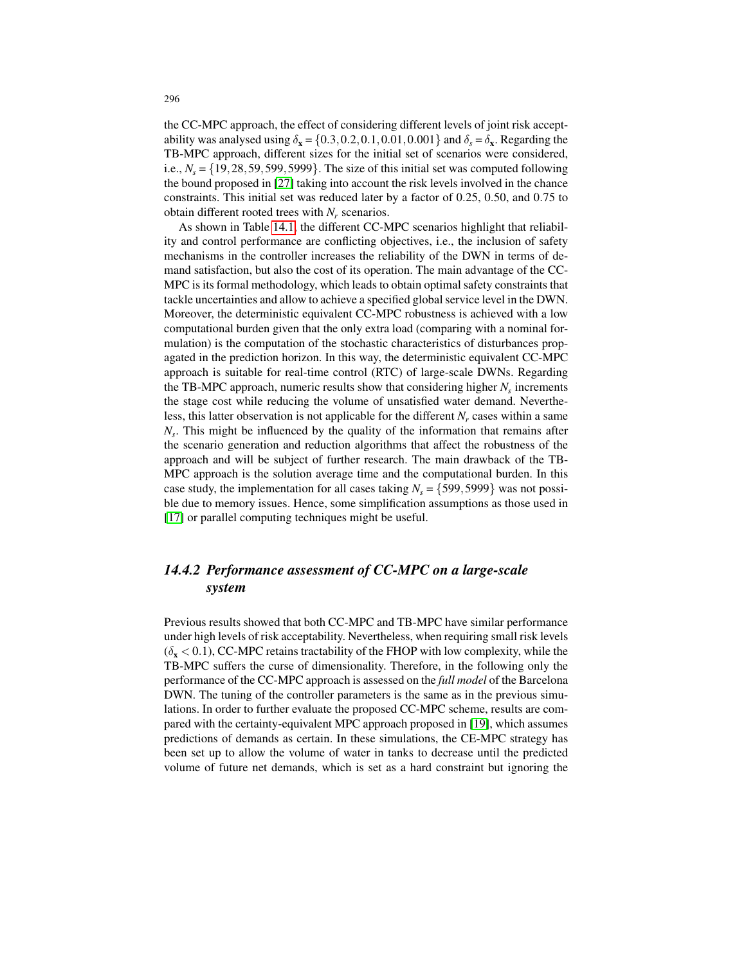the CC-MPC approach, the effect of considering different levels of joint risk acceptability was analysed using  $\delta_{\mathbf{x}} = \{0.3, 0.2, 0.1, 0.01, 0.001\}$  and  $\delta_{s} = \delta_{\mathbf{x}}$ . Regarding the TB-MPC approach, different sizes for the initial set of scenarios were considered, i.e.,  $N_s = \{19, 28, 59, 599, 5999\}$ . The size of this initial set was computed following the bound proposed in [27] taking into account the risk levels involved in the chance constraints. This initial set was reduced later by a factor of 0.25, 0.50, and 0.75 to obtain different rooted trees with *N<sup>r</sup>* scenarios.

As shown in Table 14.1, the different CC-MPC scenarios highlight that reliability and control performance are conflicting objectives, i.e., the inclusion of safety mechanisms in the controller increases the reliability of the DWN in terms of demand satisfaction, but also the cost of its operation. The main advantage of the CC-MPC is its formal methodology, which leads to obtain optimal safety constraints that tackle uncertainties and allow to achieve a specified global service level in the DWN. Moreover, the deterministic equivalent CC-MPC robustness is achieved with a low computational burden given that the only extra load (comparing with a nominal formulation) is the computation of the stochastic characteristics of disturbances propagated in the prediction horizon. In this way, the deterministic equivalent CC-MPC approach is suitable for real-time control (RTC) of large-scale DWNs. Regarding the TB-MPC approach, numeric results show that considering higher *N<sup>s</sup>* increments the stage cost while reducing the volume of unsatisfied water demand. Nevertheless, this latter observation is not applicable for the different  $N_r$  cases within a same *Ns* . This might be influenced by the quality of the information that remains after the scenario generation and reduction algorithms that affect the robustness of the approach and will be subject of further research. The main drawback of the TB-MPC approach is the solution average time and the computational burden. In this case study, the implementation for all cases taking  $N_s = \{599, 5999\}$  was not possible due to memory issues. Hence, some simplification assumptions as those used in [17] or parallel computing techniques might be useful.

# *14.4.2 Performance assessment of CC-MPC on a large-scale system*

Previous results showed that both CC-MPC and TB-MPC have similar performance under high levels of risk acceptability. Nevertheless, when requiring small risk levels  $(\delta_{\mathbf{x}} < 0.1)$ , CC-MPC retains tractability of the FHOP with low complexity, while the TB-MPC suffers the curse of dimensionality. Therefore, in the following only the performance of the CC-MPC approach is assessed on the *full model* of the Barcelona DWN. The tuning of the controller parameters is the same as in the previous simulations. In order to further evaluate the proposed CC-MPC scheme, results are compared with the certainty-equivalent MPC approach proposed in [19], which assumes predictions of demands as certain. In these simulations, the CE-MPC strategy has been set up to allow the volume of water in tanks to decrease until the predicted volume of future net demands, which is set as a hard constraint but ignoring the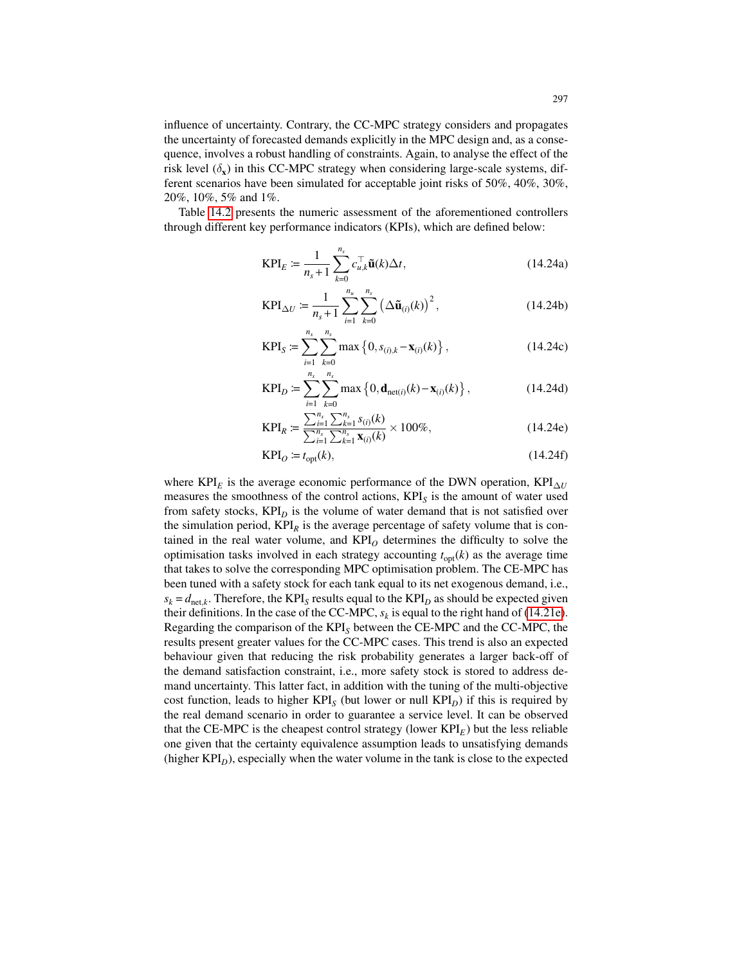influence of uncertainty. Contrary, the CC-MPC strategy considers and propagates the uncertainty of forecasted demands explicitly in the MPC design and, as a consequence, involves a robust handling of constraints. Again, to analyse the effect of the risk level  $(\delta_x)$  in this CC-MPC strategy when considering large-scale systems, different scenarios have been simulated for acceptable joint risks of 50%, 40%, 30%, 20%, 10%, 5% and 1%.

Table 14.2 presents the numeric assessment of the aforementioned controllers through different key performance indicators (KPIs), which are defined below:

$$
KPI_E \coloneqq \frac{1}{n_s + 1} \sum_{k=0}^{n_s} c_{u,k}^\top \tilde{\mathbf{u}}(k) \Delta t,\tag{14.24a}
$$

$$
KPI_{\Delta U} := \frac{1}{n_s + 1} \sum_{i=1}^{n_u} \sum_{k=0}^{n_s} (\Delta \tilde{\mathbf{u}}_{(i)}(k))^2,
$$
 (14.24b)

$$
KPIS := \sum_{i=1}^{n_x} \sum_{k=0}^{n_s} \max \left\{ 0, s_{(i),k} - \mathbf{x}_{(i)}(k) \right\},
$$
 (14.24c)

$$
KPI_D := \sum_{i=1}^{n_x} \sum_{k=0}^{n_s} \max\left\{0, \mathbf{d}_{\text{net}(i)}(k) - \mathbf{x}_{(i)}(k)\right\},
$$
 (14.24d)

$$
KPI_R \coloneqq \frac{\sum_{i=1}^{n_x} \sum_{k=1}^{n_s} s_{(i)}(k)}{\sum_{i=1}^{n_x} \sum_{k=1}^{n_s} \mathbf{x}_{(i)}(k)} \times 100\%,\tag{14.24e}
$$

$$
KPIO := topt(k),
$$
\n(14.24f)

where KPI<sub>E</sub> is the average economic performance of the DWN operation, KPI $_{\Delta U}$ measures the smoothness of the control actions, KPI*<sup>S</sup>* is the amount of water used from safety stocks,  $KPI<sub>D</sub>$  is the volume of water demand that is not satisfied over the simulation period,  $KPI<sub>R</sub>$  is the average percentage of safety volume that is contained in the real water volume, and  $KPI<sub>O</sub>$  determines the difficulty to solve the optimisation tasks involved in each strategy accounting  $t_{opt}(k)$  as the average time that takes to solve the corresponding MPC optimisation problem. The CE-MPC has been tuned with a safety stock for each tank equal to its net exogenous demand, i.e.,  $s_k = d_{\text{net},k}$ . Therefore, the KPI<sub>*S*</sub> results equal to the KPI<sub>*D*</sub> as should be expected given their definitions. In the case of the CC-MPC,  $s_k$  is equal to the right hand of (14.21e). Regarding the comparison of the KPI*<sup>S</sup>* between the CE-MPC and the CC-MPC, the results present greater values for the CC-MPC cases. This trend is also an expected behaviour given that reducing the risk probability generates a larger back-off of the demand satisfaction constraint, i.e., more safety stock is stored to address demand uncertainty. This latter fact, in addition with the tuning of the multi-objective cost function, leads to higher KPI<sub>S</sub> (but lower or null KPI<sub>D</sub>) if this is required by the real demand scenario in order to guarantee a service level. It can be observed that the CE-MPC is the cheapest control strategy (lower  $KPI<sub>E</sub>$ ) but the less reliable one given that the certainty equivalence assumption leads to unsatisfying demands (higher  $KPI<sub>D</sub>$ ), especially when the water volume in the tank is close to the expected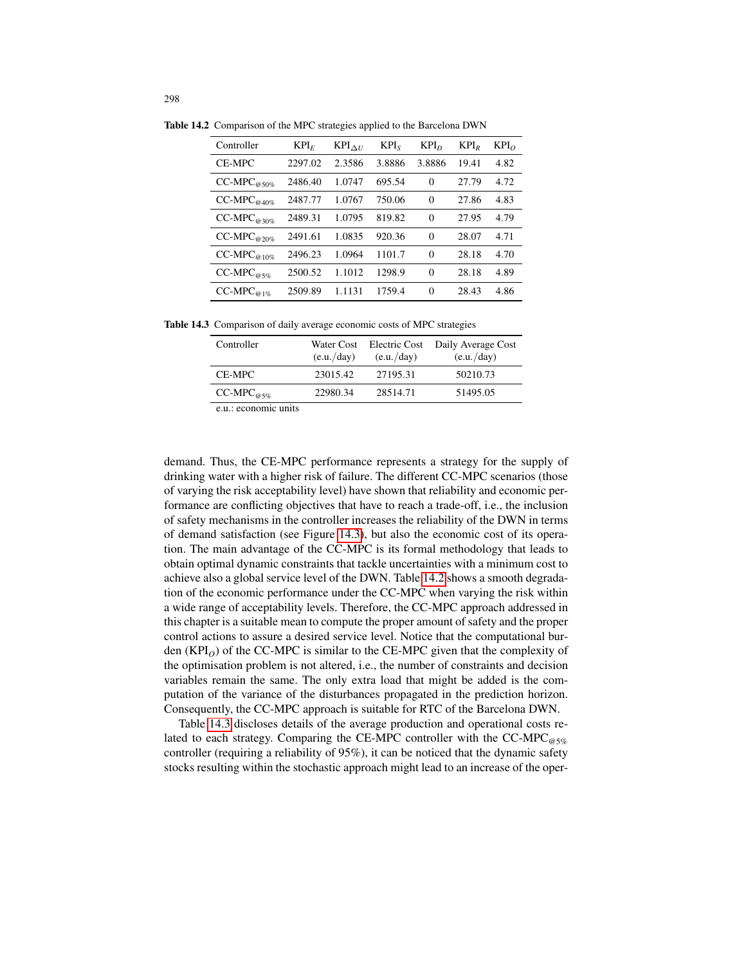| Controller       | KPI <sub>E</sub> | $KPI_{\Delta U}$ | $KPI_s$ | KPI <sub>D</sub> | $KPI_R$ | $KPI_{O}$ |
|------------------|------------------|------------------|---------|------------------|---------|-----------|
| CE-MPC           | 2297.02          | 2.3586           | 3.8886  | 3.8886           | 19.41   | 4.82      |
| $CC-MPC_{@50\%}$ | 2486.40          | 1.0747           | 695.54  | $\theta$         | 27.79   | 4.72      |
| $CC-MPC_{@40\%}$ | 2487.77          | 1.0767           | 750.06  | $\Omega$         | 27.86   | 4.83      |
| $CC-MPC_{@30\%}$ | 2489.31          | 1.0795           | 819.82  | $\Omega$         | 27.95   | 4.79      |
| $CC-MPC_{@20\%}$ | 2491.61          | 1.0835           | 920.36  | $\theta$         | 28.07   | 4.71      |
| $CC-MPC_{@10\%}$ | 2496.23          | 1.0964           | 1101.7  | $\Omega$         | 28.18   | 4.70      |
| $CC-MPC_{@5\%}$  | 2500.52          | 1.1012           | 1298.9  | $\Omega$         | 28.18   | 4.89      |
| $CC-MPC_{@1\%}$  | 2509.89          | 1.1131           | 1759.4  | $\theta$         | 28.43   | 4.86      |

Table 14.2 Comparison of the MPC strategies applied to the Barcelona DWN

Table 14.3 Comparison of daily average economic costs of MPC strategies

| Controller            | Water Cost<br>(e.u./day) | Electric Cost<br>(e.u./day) | Daily Average Cost<br>(e.u./day) |
|-----------------------|--------------------------|-----------------------------|----------------------------------|
| CE-MPC                | 23015.42                 | 27195.31                    | 50210.73                         |
| $CC-MPC_{\omega 5\%}$ | 22980.34                 | 28514.71                    | 51495.05                         |
| e.u.: economic units  |                          |                             |                                  |

demand. Thus, the CE-MPC performance represents a strategy for the supply of drinking water with a higher risk of failure. The different CC-MPC scenarios (those of varying the risk acceptability level) have shown that reliability and economic performance are conflicting objectives that have to reach a trade-off, i.e., the inclusion of safety mechanisms in the controller increases the reliability of the DWN in terms of demand satisfaction (see Figure 14.3), but also the economic cost of its operation. The main advantage of the CC-MPC is its formal methodology that leads to obtain optimal dynamic constraints that tackle uncertainties with a minimum cost to achieve also a global service level of the DWN. Table 14.2 shows a smooth degradation of the economic performance under the CC-MPC when varying the risk within a wide range of acceptability levels. Therefore, the CC-MPC approach addressed in this chapter is a suitable mean to compute the proper amount of safety and the proper control actions to assure a desired service level. Notice that the computational burden  $(KPI<sub>O</sub>)$  of the CC-MPC is similar to the CE-MPC given that the complexity of the optimisation problem is not altered, i.e., the number of constraints and decision variables remain the same. The only extra load that might be added is the computation of the variance of the disturbances propagated in the prediction horizon. Consequently, the CC-MPC approach is suitable for RTC of the Barcelona DWN.

Table 14.3 discloses details of the average production and operational costs related to each strategy. Comparing the CE-MPC controller with the CC-MPC $_{\text{\tiny QG5\%}}$ controller (requiring a reliability of 95%), it can be noticed that the dynamic safety stocks resulting within the stochastic approach might lead to an increase of the oper-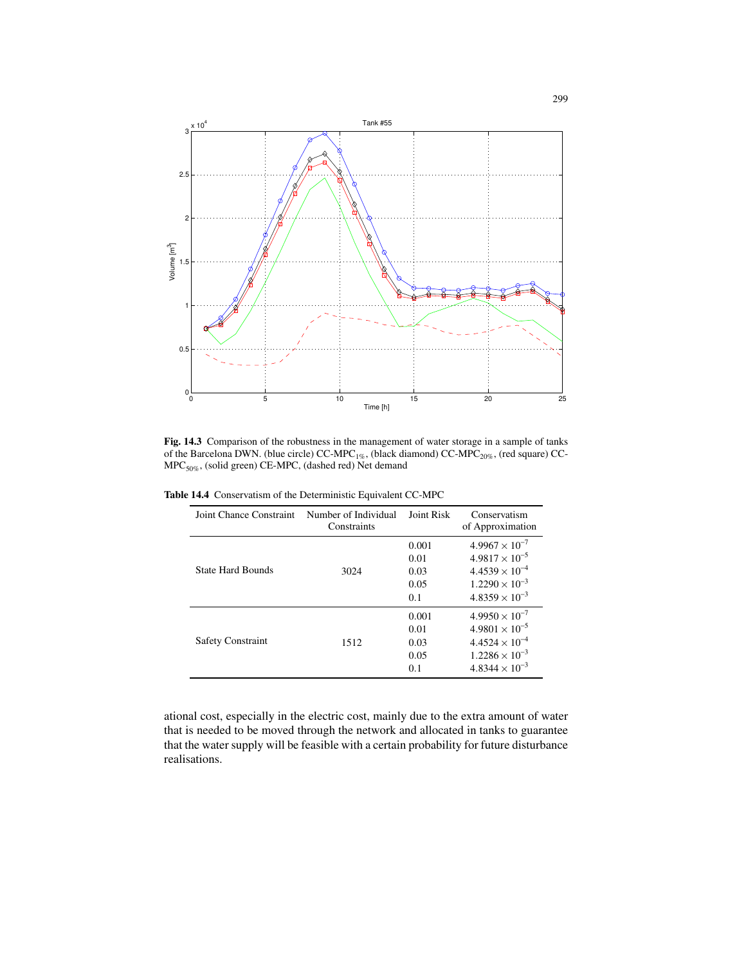

Fig. 14.3 Comparison of the robustness in the management of water storage in a sample of tanks of the Barcelona DWN. (blue circle) CC-MPC<sub>1%</sub>, (black diamond) CC-MPC<sub>20%</sub>, (red square) CC-MPC50%, (solid green) CE-MPC, (dashed red) Net demand

Table 14.4 Conservatism of the Deterministic Equivalent CC-MPC

| Joint Chance Constraint  | Number of Individual<br>Constraints | Joint Risk                           | Conservatism<br>of Approximation                                                                                                    |  |
|--------------------------|-------------------------------------|--------------------------------------|-------------------------------------------------------------------------------------------------------------------------------------|--|
| <b>State Hard Bounds</b> | 3024                                | 0.001<br>0.01<br>0.03<br>0.05<br>0.1 | $4.9967 \times 10^{-7}$<br>$4.9817 \times 10^{-5}$<br>$4.4539 \times 10^{-4}$<br>$1.2290 \times 10^{-3}$<br>$4.8359 \times 10^{-3}$ |  |
| <b>Safety Constraint</b> | 1512                                | 0.001<br>0.01<br>0.03<br>0.05<br>0.1 | $4.9950 \times 10^{-7}$<br>$4.9801 \times 10^{-5}$<br>$4.4524 \times 10^{-4}$<br>$1.2286 \times 10^{-3}$<br>$4.8344 \times 10^{-3}$ |  |

ational cost, especially in the electric cost, mainly due to the extra amount of water that is needed to be moved through the network and allocated in tanks to guarantee that the water supply will be feasible with a certain probability for future disturbance realisations.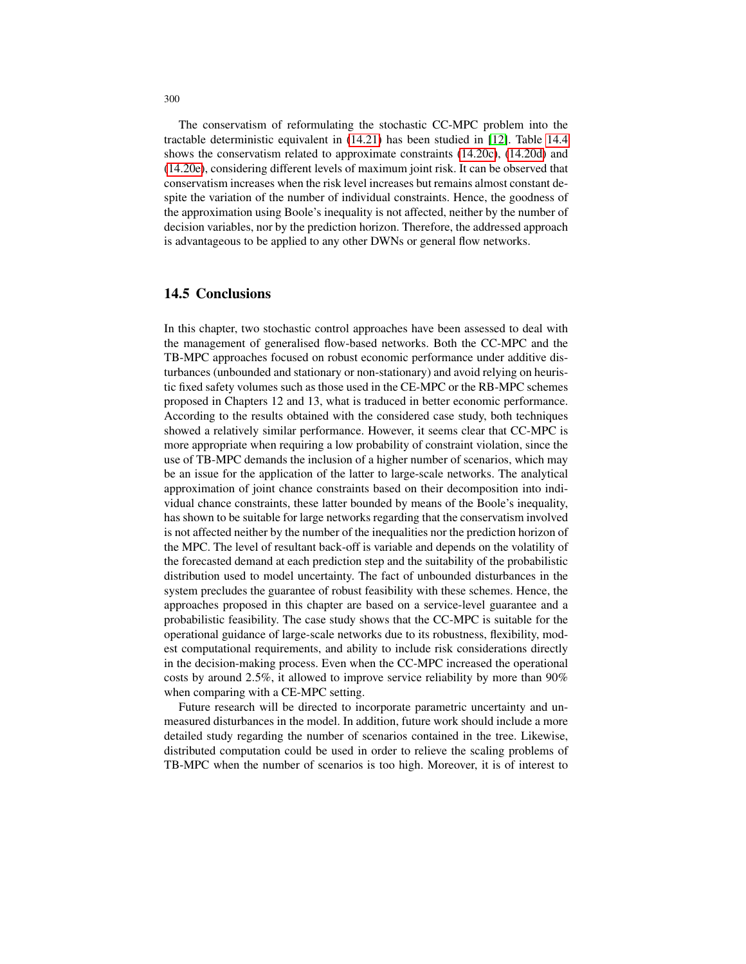The conservatism of reformulating the stochastic CC-MPC problem into the tractable deterministic equivalent in (14.21) has been studied in [12]. Table 14.4 shows the conservatism related to approximate constraints (14.20c), (14.20d) and (14.20e), considering different levels of maximum joint risk. It can be observed that conservatism increases when the risk level increases but remains almost constant despite the variation of the number of individual constraints. Hence, the goodness of the approximation using Boole's inequality is not affected, neither by the number of decision variables, nor by the prediction horizon. Therefore, the addressed approach is advantageous to be applied to any other DWNs or general flow networks.

# 14.5 Conclusions

In this chapter, two stochastic control approaches have been assessed to deal with the management of generalised flow-based networks. Both the CC-MPC and the TB-MPC approaches focused on robust economic performance under additive disturbances (unbounded and stationary or non-stationary) and avoid relying on heuristic fixed safety volumes such as those used in the CE-MPC or the RB-MPC schemes proposed in Chapters 12 and 13, what is traduced in better economic performance. According to the results obtained with the considered case study, both techniques showed a relatively similar performance. However, it seems clear that CC-MPC is more appropriate when requiring a low probability of constraint violation, since the use of TB-MPC demands the inclusion of a higher number of scenarios, which may be an issue for the application of the latter to large-scale networks. The analytical approximation of joint chance constraints based on their decomposition into individual chance constraints, these latter bounded by means of the Boole's inequality, has shown to be suitable for large networks regarding that the conservatism involved is not affected neither by the number of the inequalities nor the prediction horizon of the MPC. The level of resultant back-off is variable and depends on the volatility of the forecasted demand at each prediction step and the suitability of the probabilistic distribution used to model uncertainty. The fact of unbounded disturbances in the system precludes the guarantee of robust feasibility with these schemes. Hence, the approaches proposed in this chapter are based on a service-level guarantee and a probabilistic feasibility. The case study shows that the CC-MPC is suitable for the operational guidance of large-scale networks due to its robustness, flexibility, modest computational requirements, and ability to include risk considerations directly in the decision-making process. Even when the CC-MPC increased the operational costs by around 2.5%, it allowed to improve service reliability by more than 90% when comparing with a CE-MPC setting.

Future research will be directed to incorporate parametric uncertainty and unmeasured disturbances in the model. In addition, future work should include a more detailed study regarding the number of scenarios contained in the tree. Likewise, distributed computation could be used in order to relieve the scaling problems of TB-MPC when the number of scenarios is too high. Moreover, it is of interest to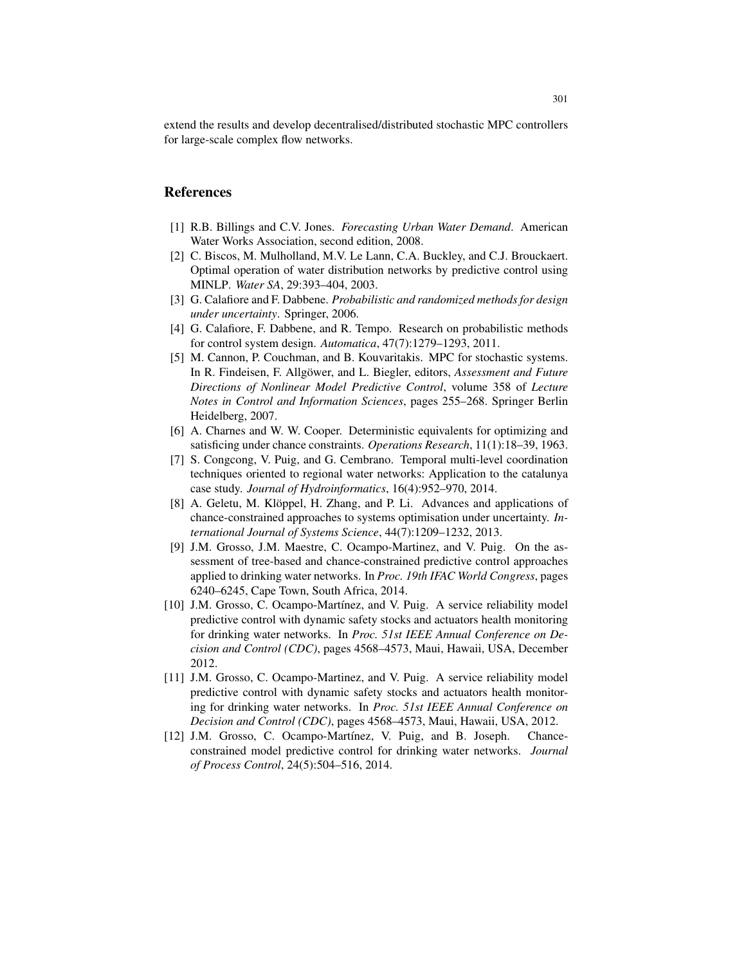extend the results and develop decentralised/distributed stochastic MPC controllers for large-scale complex flow networks.

#### References

- [1] R.B. Billings and C.V. Jones. *Forecasting Urban Water Demand*. American Water Works Association, second edition, 2008.
- [2] C. Biscos, M. Mulholland, M.V. Le Lann, C.A. Buckley, and C.J. Brouckaert. Optimal operation of water distribution networks by predictive control using MINLP. *Water SA*, 29:393–404, 2003.
- [3] G. Calafiore and F. Dabbene. *Probabilistic and randomized methods for design under uncertainty*. Springer, 2006.
- [4] G. Calafiore, F. Dabbene, and R. Tempo. Research on probabilistic methods for control system design. *Automatica*, 47(7):1279–1293, 2011.
- [5] M. Cannon, P. Couchman, and B. Kouvaritakis. MPC for stochastic systems. In R. Findeisen, F. Allgöwer, and L. Biegler, editors, *Assessment and Future Directions of Nonlinear Model Predictive Control*, volume 358 of *Lecture Notes in Control and Information Sciences*, pages 255–268. Springer Berlin Heidelberg, 2007.
- [6] A. Charnes and W. W. Cooper. Deterministic equivalents for optimizing and satisficing under chance constraints. *Operations Research*, 11(1):18–39, 1963.
- [7] S. Congcong, V. Puig, and G. Cembrano. Temporal multi-level coordination techniques oriented to regional water networks: Application to the catalunya case study. *Journal of Hydroinformatics*, 16(4):952–970, 2014.
- [8] A. Geletu, M. Klöppel, H. Zhang, and P. Li. Advances and applications of chance-constrained approaches to systems optimisation under uncertainty. *International Journal of Systems Science*, 44(7):1209–1232, 2013.
- [9] J.M. Grosso, J.M. Maestre, C. Ocampo-Martinez, and V. Puig. On the assessment of tree-based and chance-constrained predictive control approaches applied to drinking water networks. In *Proc. 19th IFAC World Congress*, pages 6240–6245, Cape Town, South Africa, 2014.
- [10] J.M. Grosso, C. Ocampo-Martínez, and V. Puig. A service reliability model predictive control with dynamic safety stocks and actuators health monitoring for drinking water networks. In *Proc. 51st IEEE Annual Conference on Decision and Control (CDC)*, pages 4568–4573, Maui, Hawaii, USA, December 2012.
- [11] J.M. Grosso, C. Ocampo-Martinez, and V. Puig. A service reliability model predictive control with dynamic safety stocks and actuators health monitoring for drinking water networks. In *Proc. 51st IEEE Annual Conference on Decision and Control (CDC)*, pages 4568–4573, Maui, Hawaii, USA, 2012.
- [12] J.M. Grosso, C. Ocampo-Martínez, V. Puig, and B. Joseph. Chanceconstrained model predictive control for drinking water networks. *Journal of Process Control*, 24(5):504–516, 2014.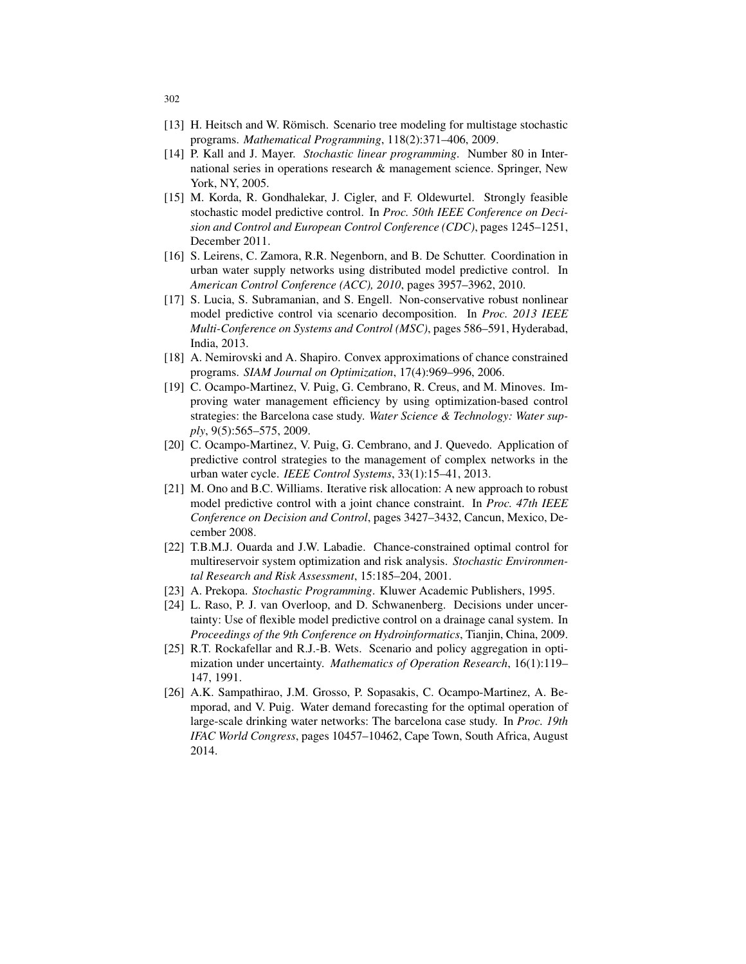- [13] H. Heitsch and W. Römisch. Scenario tree modeling for multistage stochastic programs. *Mathematical Programming*, 118(2):371–406, 2009.
- [14] P. Kall and J. Mayer. *Stochastic linear programming*. Number 80 in International series in operations research & management science. Springer, New York, NY, 2005.
- [15] M. Korda, R. Gondhalekar, J. Cigler, and F. Oldewurtel. Strongly feasible stochastic model predictive control. In *Proc. 50th IEEE Conference on Decision and Control and European Control Conference (CDC)*, pages 1245–1251, December 2011.
- [16] S. Leirens, C. Zamora, R.R. Negenborn, and B. De Schutter. Coordination in urban water supply networks using distributed model predictive control. In *American Control Conference (ACC), 2010*, pages 3957–3962, 2010.
- [17] S. Lucia, S. Subramanian, and S. Engell. Non-conservative robust nonlinear model predictive control via scenario decomposition. In *Proc. 2013 IEEE Multi-Conference on Systems and Control (MSC)*, pages 586–591, Hyderabad, India, 2013.
- [18] A. Nemirovski and A. Shapiro. Convex approximations of chance constrained programs. *SIAM Journal on Optimization*, 17(4):969–996, 2006.
- [19] C. Ocampo-Martinez, V. Puig, G. Cembrano, R. Creus, and M. Minoves. Improving water management efficiency by using optimization-based control strategies: the Barcelona case study. *Water Science & Technology: Water supply*, 9(5):565–575, 2009.
- [20] C. Ocampo-Martinez, V. Puig, G. Cembrano, and J. Quevedo. Application of predictive control strategies to the management of complex networks in the urban water cycle. *IEEE Control Systems*, 33(1):15–41, 2013.
- [21] M. Ono and B.C. Williams. Iterative risk allocation: A new approach to robust model predictive control with a joint chance constraint. In *Proc. 47th IEEE Conference on Decision and Control*, pages 3427–3432, Cancun, Mexico, December 2008.
- [22] T.B.M.J. Ouarda and J.W. Labadie. Chance-constrained optimal control for multireservoir system optimization and risk analysis. *Stochastic Environmental Research and Risk Assessment*, 15:185–204, 2001.
- [23] A. Prekopa. *Stochastic Programming*. Kluwer Academic Publishers, 1995.
- [24] L. Raso, P. J. van Overloop, and D. Schwanenberg. Decisions under uncertainty: Use of flexible model predictive control on a drainage canal system. In *Proceedings of the 9th Conference on Hydroinformatics*, Tianjin, China, 2009.
- [25] R.T. Rockafellar and R.J.-B. Wets. Scenario and policy aggregation in optimization under uncertainty. *Mathematics of Operation Research*, 16(1):119– 147, 1991.
- [26] A.K. Sampathirao, J.M. Grosso, P. Sopasakis, C. Ocampo-Martinez, A. Bemporad, and V. Puig. Water demand forecasting for the optimal operation of large-scale drinking water networks: The barcelona case study. In *Proc. 19th IFAC World Congress*, pages 10457–10462, Cape Town, South Africa, August 2014.